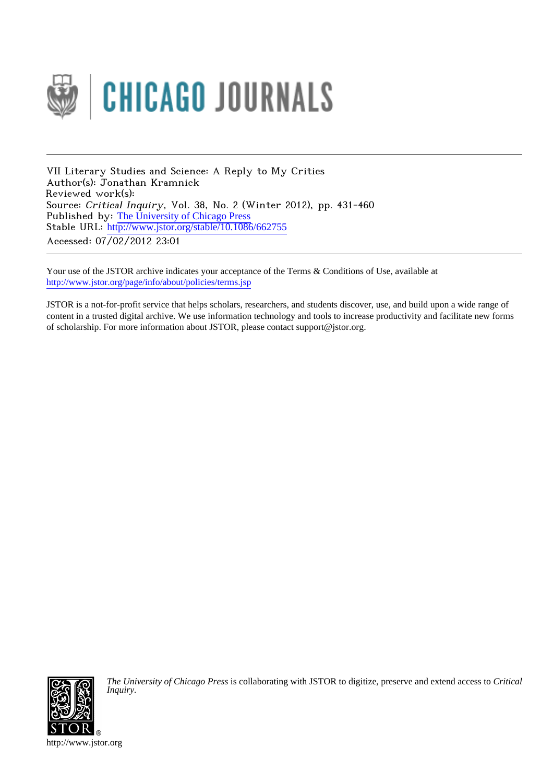

VII Literary Studies and Science: A Reply to My Critics Author(s): Jonathan Kramnick Reviewed work(s): Source: Critical Inquiry, Vol. 38, No. 2 (Winter 2012), pp. 431-460 Published by: [The University of Chicago Press](http://www.jstor.org/action/showPublisher?publisherCode=ucpress) Stable URL: http://www.jstor.org/stable/10.1086/662755 Accessed: 07/02/2012 23:01

Your use of the JSTOR archive indicates your acceptance of the Terms & Conditions of Use, available at <http://www.jstor.org/page/info/about/policies/terms.jsp>

JSTOR is a not-for-profit service that helps scholars, researchers, and students discover, use, and build upon a wide range of content in a trusted digital archive. We use information technology and tools to increase productivity and facilitate new forms of scholarship. For more information about JSTOR, please contact support@jstor.org.



*The University of Chicago Press* is collaborating with JSTOR to digitize, preserve and extend access to *Critical Inquiry.*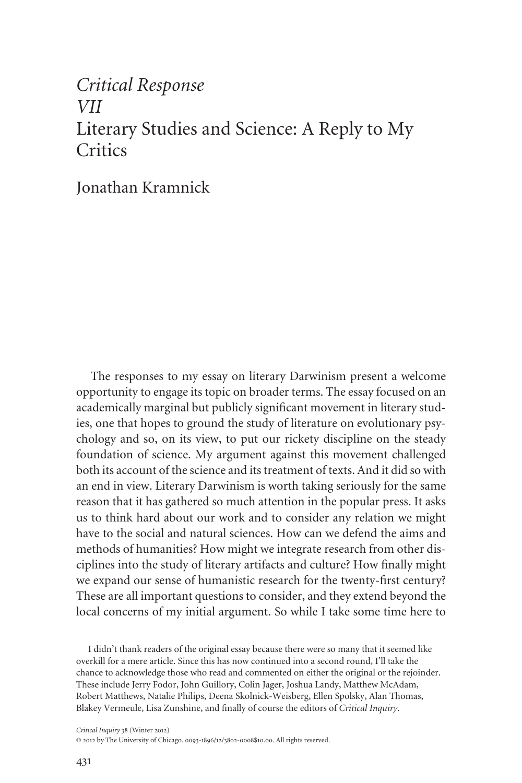# *Critical Response VII* Literary Studies and Science: A Reply to My **Critics**

Jonathan Kramnick

The responses to my essay on literary Darwinism present a welcome opportunity to engage its topic on broader terms. The essay focused on an academically marginal but publicly significant movement in literary studies, one that hopes to ground the study of literature on evolutionary psychology and so, on its view, to put our rickety discipline on the steady foundation of science. My argument against this movement challenged both its account of the science and its treatment of texts. And it did so with an end in view. Literary Darwinism is worth taking seriously for the same reason that it has gathered so much attention in the popular press. It asks us to think hard about our work and to consider any relation we might have to the social and natural sciences. How can we defend the aims and methods of humanities? How might we integrate research from other disciplines into the study of literary artifacts and culture? How finally might we expand our sense of humanistic research for the twenty-first century? These are all important questions to consider, and they extend beyond the local concerns of my initial argument. So while I take some time here to

I didn't thank readers of the original essay because there were so many that it seemed like overkill for a mere article. Since this has now continued into a second round, I'll take the chance to acknowledge those who read and commented on either the original or the rejoinder. These include Jerry Fodor, John Guillory, Colin Jager, Joshua Landy, Matthew McAdam, Robert Matthews, Natalie Philips, Deena Skolnick-Weisberg, Ellen Spolsky, Alan Thomas, Blakey Vermeule, Lisa Zunshine, and finally of course the editors of *Critical Inquiry*.

*Critical Inquiry* 38 (Winter 2012)

© 2012 by The University of Chicago. 0093-1896/12/3802-0008\$10.00. All rights reserved.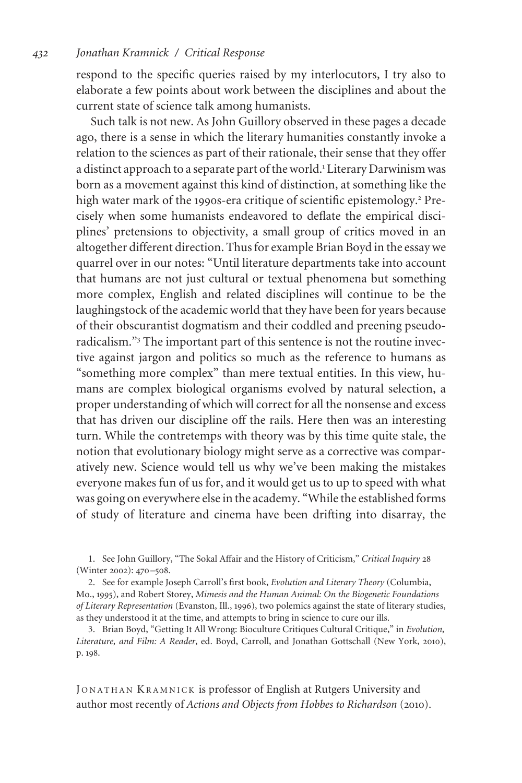respond to the specific queries raised by my interlocutors, I try also to elaborate a few points about work between the disciplines and about the current state of science talk among humanists.

Such talk is not new. As John Guillory observed in these pages a decade ago, there is a sense in which the literary humanities constantly invoke a relation to the sciences as part of their rationale, their sense that they offer a distinct approach to a separate part of the world.<sup>1</sup> Literary Darwinism was born as a movement against this kind of distinction, at something like the high water mark of the 1990s-era critique of scientific epistemology.<sup>2</sup> Precisely when some humanists endeavored to deflate the empirical disciplines' pretensions to objectivity, a small group of critics moved in an altogether different direction. Thus for example Brian Boyd in the essay we quarrel over in our notes: "Until literature departments take into account that humans are not just cultural or textual phenomena but something more complex, English and related disciplines will continue to be the laughingstock of the academic world that they have been for years because of their obscurantist dogmatism and their coddled and preening pseudoradicalism."<sup>3</sup> The important part of this sentence is not the routine invective against jargon and politics so much as the reference to humans as "something more complex" than mere textual entities. In this view, humans are complex biological organisms evolved by natural selection, a proper understanding of which will correct for all the nonsense and excess that has driven our discipline off the rails. Here then was an interesting turn. While the contretemps with theory was by this time quite stale, the notion that evolutionary biology might serve as a corrective was comparatively new. Science would tell us why we've been making the mistakes everyone makes fun of us for, and it would get us to up to speed with what was going on everywhere else in the academy. "While the established forms of study of literature and cinema have been drifting into disarray, the

1. See John Guillory, "The Sokal Affair and the History of Criticism," *Critical Inquiry* 28 (Winter 2002): 470–508.

2. See for example Joseph Carroll's first book, *Evolution and Literary Theory* (Columbia, Mo., 1995), and Robert Storey, *Mimesis and the Human Animal: On the Biogenetic Foundations of Literary Representation* (Evanston, Ill., 1996), two polemics against the state of literary studies, as they understood it at the time, and attempts to bring in science to cure our ills.

3. Brian Boyd, "Getting It All Wrong: Bioculture Critiques Cultural Critique," in *Evolution, Literature, and Film: A Reader*, ed. Boyd, Carroll, and Jonathan Gottschall (New York, 2010), p. 198.

JONATHAN KRAMNICK is professor of English at Rutgers University and author most recently of *Actions and Objects from Hobbes to Richardson* (2010).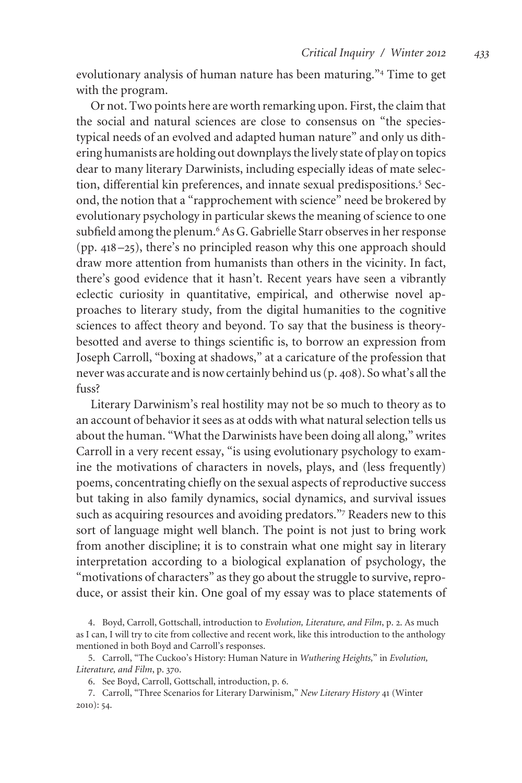evolutionary analysis of human nature has been maturing."<sup>4</sup> Time to get with the program.

Or not. Two points here are worth remarking upon. First, the claim that the social and natural sciences are close to consensus on "the speciestypical needs of an evolved and adapted human nature" and only us dithering humanists are holding out downplays the lively state of play on topics dear to many literary Darwinists, including especially ideas of mate selection, differential kin preferences, and innate sexual predispositions.<sup>5</sup> Second, the notion that a "rapprochement with science" need be brokered by evolutionary psychology in particular skews the meaning of science to one subfield among the plenum.<sup>6</sup> As G. Gabrielle Starr observes in her response (pp. 418–25), there's no principled reason why this one approach should draw more attention from humanists than others in the vicinity. In fact, there's good evidence that it hasn't. Recent years have seen a vibrantly eclectic curiosity in quantitative, empirical, and otherwise novel approaches to literary study, from the digital humanities to the cognitive sciences to affect theory and beyond. To say that the business is theorybesotted and averse to things scientific is, to borrow an expression from Joseph Carroll, "boxing at shadows," at a caricature of the profession that never was accurate and is now certainly behind us (p. 408). So what's all the fuss?

Literary Darwinism's real hostility may not be so much to theory as to an account of behavior it sees as at odds with what natural selection tells us about the human. "What the Darwinists have been doing all along," writes Carroll in a very recent essay, "is using evolutionary psychology to examine the motivations of characters in novels, plays, and (less frequently) poems, concentrating chiefly on the sexual aspects of reproductive success but taking in also family dynamics, social dynamics, and survival issues such as acquiring resources and avoiding predators."<sup>7</sup> Readers new to this sort of language might well blanch. The point is not just to bring work from another discipline; it is to constrain what one might say in literary interpretation according to a biological explanation of psychology, the "motivations of characters" as they go about the struggle to survive, reproduce, or assist their kin. One goal of my essay was to place statements of

5. Carroll, "The Cuckoo's History: Human Nature in *Wuthering Heights,*" in *Evolution, Literature, and Film*, p. 370.

6. See Boyd, Carroll, Gottschall, introduction, p. 6.

7. Carroll, "Three Scenarios for Literary Darwinism," *New Literary History* 41 (Winter 2010): 54.

<sup>4.</sup> Boyd, Carroll, Gottschall, introduction to *Evolution, Literature, and Film*, p. 2. As much as I can, I will try to cite from collective and recent work, like this introduction to the anthology mentioned in both Boyd and Carroll's responses.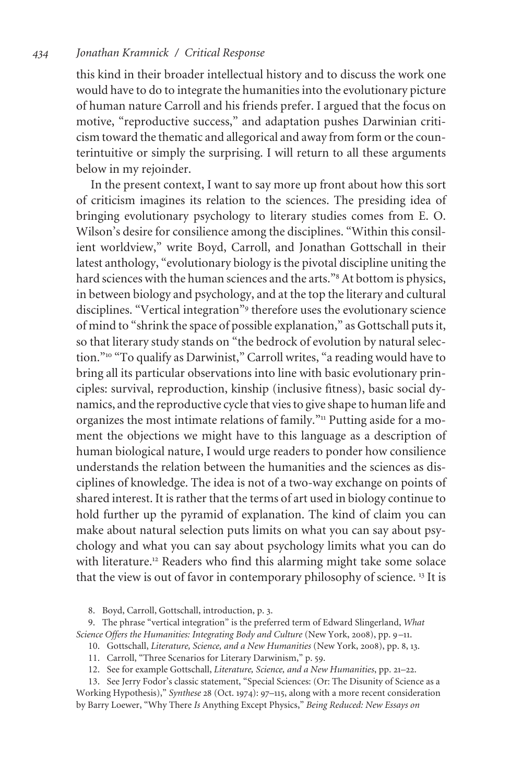this kind in their broader intellectual history and to discuss the work one would have to do to integrate the humanities into the evolutionary picture of human nature Carroll and his friends prefer. I argued that the focus on motive, "reproductive success," and adaptation pushes Darwinian criticism toward the thematic and allegorical and away from form or the counterintuitive or simply the surprising. I will return to all these arguments below in my rejoinder.

In the present context, I want to say more up front about how this sort of criticism imagines its relation to the sciences. The presiding idea of bringing evolutionary psychology to literary studies comes from E. O. Wilson's desire for consilience among the disciplines. "Within this consilient worldview," write Boyd, Carroll, and Jonathan Gottschall in their latest anthology, "evolutionary biology is the pivotal discipline uniting the hard sciences with the human sciences and the arts."<sup>8</sup> At bottom is physics, in between biology and psychology, and at the top the literary and cultural disciplines. "Vertical integration"<sup>9</sup> therefore uses the evolutionary science of mind to "shrink the space of possible explanation," as Gottschall puts it, so that literary study stands on "the bedrock of evolution by natural selection."<sup>10</sup> "To qualify as Darwinist," Carroll writes, "a reading would have to bring all its particular observations into line with basic evolutionary principles: survival, reproduction, kinship (inclusive fitness), basic social dynamics, and the reproductive cycle that vies to give shape to human life and organizes the most intimate relations of family."<sup>11</sup> Putting aside for a moment the objections we might have to this language as a description of human biological nature, I would urge readers to ponder how consilience understands the relation between the humanities and the sciences as disciplines of knowledge. The idea is not of a two-way exchange on points of shared interest. It is rather that the terms of art used in biology continue to hold further up the pyramid of explanation. The kind of claim you can make about natural selection puts limits on what you can say about psychology and what you can say about psychology limits what you can do with literature.<sup>12</sup> Readers who find this alarming might take some solace that the view is out of favor in contemporary philosophy of science. <sup>13</sup> It is

8. Boyd, Carroll, Gottschall, introduction, p. 3.

9. The phrase "vertical integration" is the preferred term of Edward Slingerland, *What Science Offers the Humanities: Integrating Body and Culture* (New York, 2008), pp. 9–11.

- 10. Gottschall, *Literature, Science, and a New Humanities* (New York, 2008), pp. 8, 13.
- 11. Carroll, "Three Scenarios for Literary Darwinism," p. 59.
- 12. See for example Gottschall, *Literature, Science, and a New Humanities*, pp. 21–22.
- 13. See Jerry Fodor's classic statement, "Special Sciences: (Or: The Disunity of Science as a Working Hypothesis)," *Synthese* 28 (Oct. 1974): 97–115, along with a more recent consideration by Barry Loewer, "Why There *Is* Anything Except Physics," *Being Reduced: New Essays on*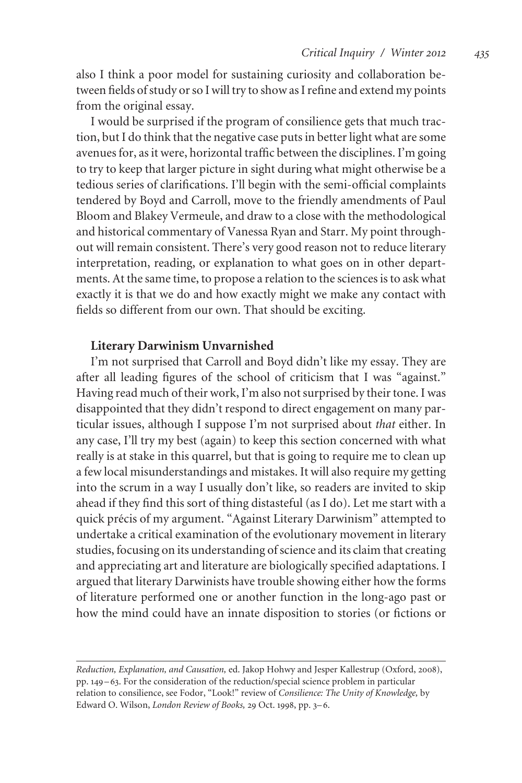also I think a poor model for sustaining curiosity and collaboration between fields of study or so I will try to show as I refine and extend my points from the original essay.

I would be surprised if the program of consilience gets that much traction, but I do think that the negative case puts in better light what are some avenues for, as it were, horizontal traffic between the disciplines. I'm going to try to keep that larger picture in sight during what might otherwise be a tedious series of clarifications. I'll begin with the semi-official complaints tendered by Boyd and Carroll, move to the friendly amendments of Paul Bloom and Blakey Vermeule, and draw to a close with the methodological and historical commentary of Vanessa Ryan and Starr. My point throughout will remain consistent. There's very good reason not to reduce literary interpretation, reading, or explanation to what goes on in other departments. At the same time, to propose a relation to the sciences is to ask what exactly it is that we do and how exactly might we make any contact with fields so different from our own. That should be exciting.

## **Literary Darwinism Unvarnished**

I'm not surprised that Carroll and Boyd didn't like my essay. They are after all leading figures of the school of criticism that I was "against." Having read much of their work, I'm also not surprised by their tone. I was disappointed that they didn't respond to direct engagement on many particular issues, although I suppose I'm not surprised about *that* either. In any case, I'll try my best (again) to keep this section concerned with what really is at stake in this quarrel, but that is going to require me to clean up a few local misunderstandings and mistakes. It will also require my getting into the scrum in a way I usually don't like, so readers are invited to skip ahead if they find this sort of thing distasteful (as I do). Let me start with a quick précis of my argument. "Against Literary Darwinism" attempted to undertake a critical examination of the evolutionary movement in literary studies, focusing on its understanding of science and its claim that creating and appreciating art and literature are biologically specified adaptations. I argued that literary Darwinists have trouble showing either how the forms of literature performed one or another function in the long-ago past or how the mind could have an innate disposition to stories (or fictions or

*Reduction, Explanation, and Causation,* ed. Jakop Hohwy and Jesper Kallestrup (Oxford, 2008), pp. 149–63. For the consideration of the reduction/special science problem in particular relation to consilience, see Fodor, "Look!" review of *Consilience: The Unity of Knowledge,* by Edward O. Wilson, *London Review of Books,* 29 Oct. 1998, pp. 3–6.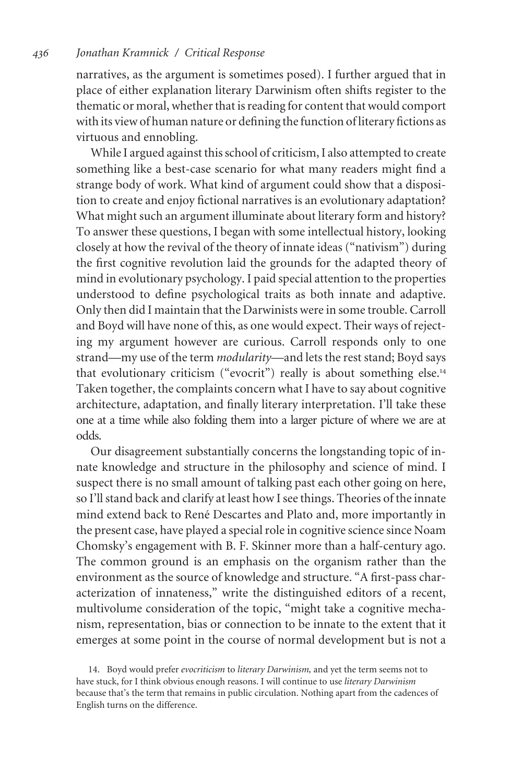narratives, as the argument is sometimes posed). I further argued that in place of either explanation literary Darwinism often shifts register to the thematic or moral, whether that is reading for content that would comport with its view of human nature or defining the function of literary fictions as virtuous and ennobling.

While I argued against this school of criticism, I also attempted to create something like a best-case scenario for what many readers might find a strange body of work. What kind of argument could show that a disposition to create and enjoy fictional narratives is an evolutionary adaptation? What might such an argument illuminate about literary form and history? To answer these questions, I began with some intellectual history, looking closely at how the revival of the theory of innate ideas ("nativism") during the first cognitive revolution laid the grounds for the adapted theory of mind in evolutionary psychology. I paid special attention to the properties understood to define psychological traits as both innate and adaptive. Only then did I maintain that the Darwinists were in some trouble. Carroll and Boyd will have none of this, as one would expect. Their ways of rejecting my argument however are curious. Carroll responds only to one strand—my use of the term *modularity*—and lets the rest stand; Boyd says that evolutionary criticism ("evocrit") really is about something else.<sup>14</sup> Taken together, the complaints concern what I have to say about cognitive architecture, adaptation, and finally literary interpretation. I'll take these one at a time while also folding them into a larger picture of where we are at odds.

Our disagreement substantially concerns the longstanding topic of innate knowledge and structure in the philosophy and science of mind. I suspect there is no small amount of talking past each other going on here, so I'll stand back and clarify at least how I see things. Theories of the innate mind extend back to René Descartes and Plato and, more importantly in the present case, have played a special role in cognitive science since Noam Chomsky's engagement with B. F. Skinner more than a half-century ago. The common ground is an emphasis on the organism rather than the environment as the source of knowledge and structure. "A first-pass characterization of innateness," write the distinguished editors of a recent, multivolume consideration of the topic, "might take a cognitive mechanism, representation, bias or connection to be innate to the extent that it emerges at some point in the course of normal development but is not a

14. Boyd would prefer *evocriticism* to *literary Darwinism,* and yet the term seems not to have stuck, for I think obvious enough reasons. I will continue to use *literary Darwinism* because that's the term that remains in public circulation. Nothing apart from the cadences of English turns on the difference.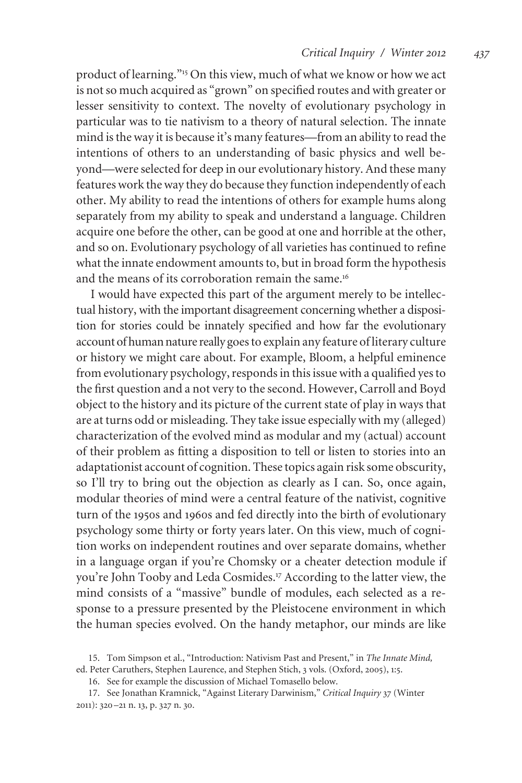product of learning."<sup>15</sup> On this view, much of what we know or how we act is not so much acquired as "grown" on specified routes and with greater or lesser sensitivity to context. The novelty of evolutionary psychology in particular was to tie nativism to a theory of natural selection. The innate mind is the way it is because it's many features—from an ability to read the intentions of others to an understanding of basic physics and well beyond—were selected for deep in our evolutionary history. And these many features work the way they do because they function independently of each other. My ability to read the intentions of others for example hums along separately from my ability to speak and understand a language. Children acquire one before the other, can be good at one and horrible at the other, and so on. Evolutionary psychology of all varieties has continued to refine what the innate endowment amounts to, but in broad form the hypothesis and the means of its corroboration remain the same.<sup>16</sup>

I would have expected this part of the argument merely to be intellectual history, with the important disagreement concerning whether a disposition for stories could be innately specified and how far the evolutionary account of human nature really goes to explain any feature of literary culture or history we might care about. For example, Bloom, a helpful eminence from evolutionary psychology, responds in this issue with a qualified yes to the first question and a not very to the second. However, Carroll and Boyd object to the history and its picture of the current state of play in ways that are at turns odd or misleading. They take issue especially with my (alleged) characterization of the evolved mind as modular and my (actual) account of their problem as fitting a disposition to tell or listen to stories into an adaptationist account of cognition. These topics again risk some obscurity, so I'll try to bring out the objection as clearly as I can. So, once again, modular theories of mind were a central feature of the nativist, cognitive turn of the 1950s and 1960s and fed directly into the birth of evolutionary psychology some thirty or forty years later. On this view, much of cognition works on independent routines and over separate domains, whether in a language organ if you're Chomsky or a cheater detection module if you're John Tooby and Leda Cosmides.<sup>17</sup> According to the latter view, the mind consists of a "massive" bundle of modules, each selected as a response to a pressure presented by the Pleistocene environment in which the human species evolved. On the handy metaphor, our minds are like

16. See for example the discussion of Michael Tomasello below.

<sup>15.</sup> Tom Simpson et al., "Introduction: Nativism Past and Present," in *The Innate Mind,* ed. Peter Caruthers, Stephen Laurence, and Stephen Stich, 3 vols. (Oxford, 2005), 1:5.

<sup>17.</sup> See Jonathan Kramnick, "Against Literary Darwinism," *Critical Inquiry* 37 (Winter 2011): 320–21 n. 13, p. 327 n. 30.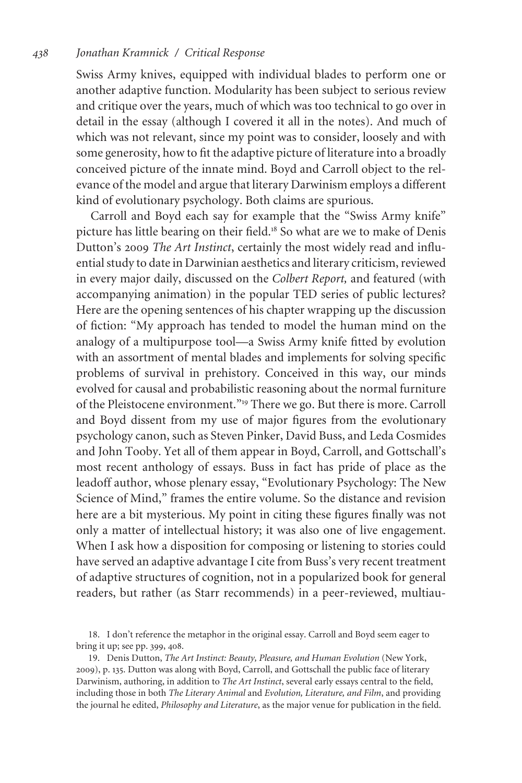Swiss Army knives, equipped with individual blades to perform one or another adaptive function. Modularity has been subject to serious review and critique over the years, much of which was too technical to go over in detail in the essay (although I covered it all in the notes). And much of which was not relevant, since my point was to consider, loosely and with some generosity, how to fit the adaptive picture of literature into a broadly conceived picture of the innate mind. Boyd and Carroll object to the relevance of the model and argue that literary Darwinism employs a different kind of evolutionary psychology. Both claims are spurious.

Carroll and Boyd each say for example that the "Swiss Army knife" picture has little bearing on their field.<sup>18</sup> So what are we to make of Denis Dutton's 2009 *The Art Instinct*, certainly the most widely read and influential study to date in Darwinian aesthetics and literary criticism, reviewed in every major daily, discussed on the *Colbert Report,* and featured (with accompanying animation) in the popular TED series of public lectures? Here are the opening sentences of his chapter wrapping up the discussion of fiction: "My approach has tended to model the human mind on the analogy of a multipurpose tool—a Swiss Army knife fitted by evolution with an assortment of mental blades and implements for solving specific problems of survival in prehistory. Conceived in this way, our minds evolved for causal and probabilistic reasoning about the normal furniture of the Pleistocene environment."<sup>19</sup> There we go. But there is more. Carroll and Boyd dissent from my use of major figures from the evolutionary psychology canon, such as Steven Pinker, David Buss, and Leda Cosmides and John Tooby. Yet all of them appear in Boyd, Carroll, and Gottschall's most recent anthology of essays. Buss in fact has pride of place as the leadoff author, whose plenary essay, "Evolutionary Psychology: The New Science of Mind," frames the entire volume. So the distance and revision here are a bit mysterious. My point in citing these figures finally was not only a matter of intellectual history; it was also one of live engagement. When I ask how a disposition for composing or listening to stories could have served an adaptive advantage I cite from Buss's very recent treatment of adaptive structures of cognition, not in a popularized book for general readers, but rather (as Starr recommends) in a peer-reviewed, multiau-

19. Denis Dutton, *The Art Instinct: Beauty, Pleasure, and Human Evolution* (New York, 2009), p. 135. Dutton was along with Boyd, Carroll, and Gottschall the public face of literary Darwinism, authoring, in addition to *The Art Instinct*, several early essays central to the field, including those in both *The Literary Animal* and *Evolution, Literature, and Film*, and providing the journal he edited, *Philosophy and Literature*, as the major venue for publication in the field.

<sup>18.</sup> I don't reference the metaphor in the original essay. Carroll and Boyd seem eager to bring it up; see pp. 399, 408.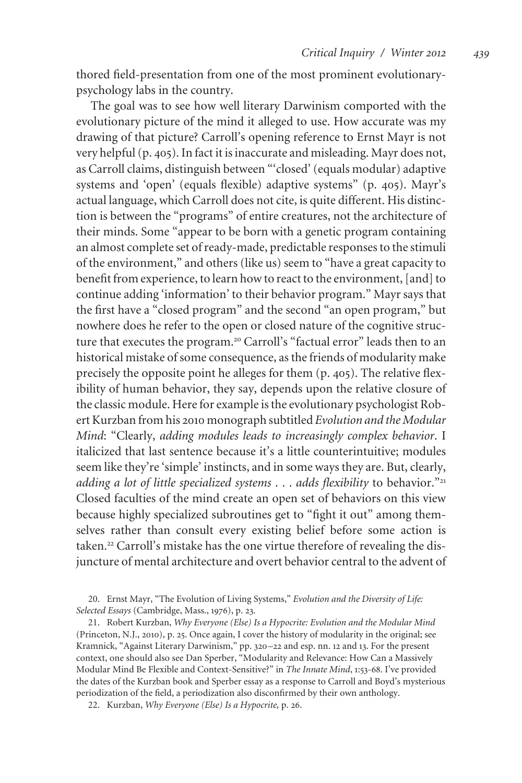thored field-presentation from one of the most prominent evolutionarypsychology labs in the country.

The goal was to see how well literary Darwinism comported with the evolutionary picture of the mind it alleged to use. How accurate was my drawing of that picture? Carroll's opening reference to Ernst Mayr is not very helpful (p. 405). In fact it is inaccurate and misleading. Mayr does not, as Carroll claims, distinguish between "'closed' (equals modular) adaptive systems and 'open' (equals flexible) adaptive systems" (p. 405). Mayr's actual language, which Carroll does not cite, is quite different. His distinction is between the "programs" of entire creatures, not the architecture of their minds. Some "appear to be born with a genetic program containing an almost complete set of ready-made, predictable responses to the stimuli of the environment," and others (like us) seem to "have a great capacity to benefit from experience, to learn how to react to the environment, [and] to continue adding 'information' to their behavior program." Mayr says that the first have a "closed program" and the second "an open program," but nowhere does he refer to the open or closed nature of the cognitive structure that executes the program.<sup>20</sup> Carroll's "factual error" leads then to an historical mistake of some consequence, as the friends of modularity make precisely the opposite point he alleges for them (p. 405). The relative flexibility of human behavior, they say, depends upon the relative closure of the classic module. Here for example is the evolutionary psychologist Robert Kurzban from his 2010 monograph subtitled *Evolution and the Modular Mind*: "Clearly, *adding modules leads to increasingly complex behavior*. I italicized that last sentence because it's a little counterintuitive; modules seem like they're 'simple' instincts, and in some ways they are. But, clearly, *adding a lot of little specialized systems* ... *adds flexibility* to behavior."<sup>21</sup> Closed faculties of the mind create an open set of behaviors on this view because highly specialized subroutines get to "fight it out" among themselves rather than consult every existing belief before some action is taken.<sup>22</sup> Carroll's mistake has the one virtue therefore of revealing the disjuncture of mental architecture and overt behavior central to the advent of

20. Ernst Mayr, "The Evolution of Living Systems," *Evolution and the Diversity of Life: Selected Essays* (Cambridge, Mass., 1976), p. 23.

21. Robert Kurzban, *Why Everyone (Else) Is a Hypocrite: Evolution and the Modular Mind* (Princeton, N.J., 2010), p. 25. Once again, I cover the history of modularity in the original; see Kramnick, "Against Literary Darwinism," pp. 320–22 and esp. nn. 12 and 13. For the present context, one should also see Dan Sperber, "Modularity and Relevance: How Can a Massively Modular Mind Be Flexible and Context-Sensitive?" in *The Innate Mind*, 1:53-68. I've provided the dates of the Kurzban book and Sperber essay as a response to Carroll and Boyd's mysterious periodization of the field, a periodization also disconfirmed by their own anthology.

22. Kurzban, *Why Everyone (Else) Is a Hypocrite,* p. 26.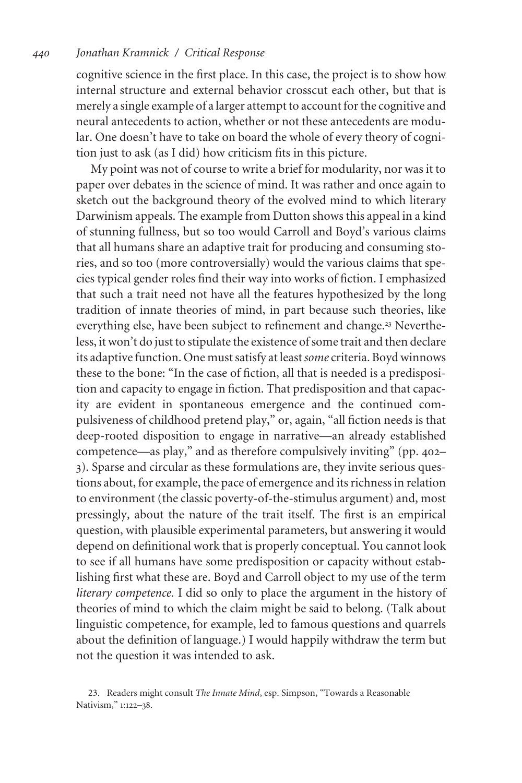cognitive science in the first place. In this case, the project is to show how internal structure and external behavior crosscut each other, but that is merely a single example of a larger attempt to account for the cognitive and neural antecedents to action, whether or not these antecedents are modular. One doesn't have to take on board the whole of every theory of cognition just to ask (as I did) how criticism fits in this picture.

My point was not of course to write a brief for modularity, nor was it to paper over debates in the science of mind. It was rather and once again to sketch out the background theory of the evolved mind to which literary Darwinism appeals. The example from Dutton shows this appeal in a kind of stunning fullness, but so too would Carroll and Boyd's various claims that all humans share an adaptive trait for producing and consuming stories, and so too (more controversially) would the various claims that species typical gender roles find their way into works of fiction. I emphasized that such a trait need not have all the features hypothesized by the long tradition of innate theories of mind, in part because such theories, like everything else, have been subject to refinement and change.<sup>23</sup> Nevertheless, it won't do just to stipulate the existence of some trait and then declare its adaptive function. One must satisfy at least *some* criteria. Boyd winnows these to the bone: "In the case of fiction, all that is needed is a predisposition and capacity to engage in fiction. That predisposition and that capacity are evident in spontaneous emergence and the continued compulsiveness of childhood pretend play," or, again, "all fiction needs is that deep-rooted disposition to engage in narrative—an already established competence—as play," and as therefore compulsively inviting" (pp. 402– 3). Sparse and circular as these formulations are, they invite serious questions about, for example, the pace of emergence and its richness in relation to environment (the classic poverty-of-the-stimulus argument) and, most pressingly, about the nature of the trait itself. The first is an empirical question, with plausible experimental parameters, but answering it would depend on definitional work that is properly conceptual. You cannot look to see if all humans have some predisposition or capacity without establishing first what these are. Boyd and Carroll object to my use of the term *literary competence.* I did so only to place the argument in the history of theories of mind to which the claim might be said to belong. (Talk about linguistic competence, for example, led to famous questions and quarrels about the definition of language.) I would happily withdraw the term but not the question it was intended to ask.

<sup>23.</sup> Readers might consult *The Innate Mind*, esp. Simpson, "Towards a Reasonable Nativism," 1:122-38.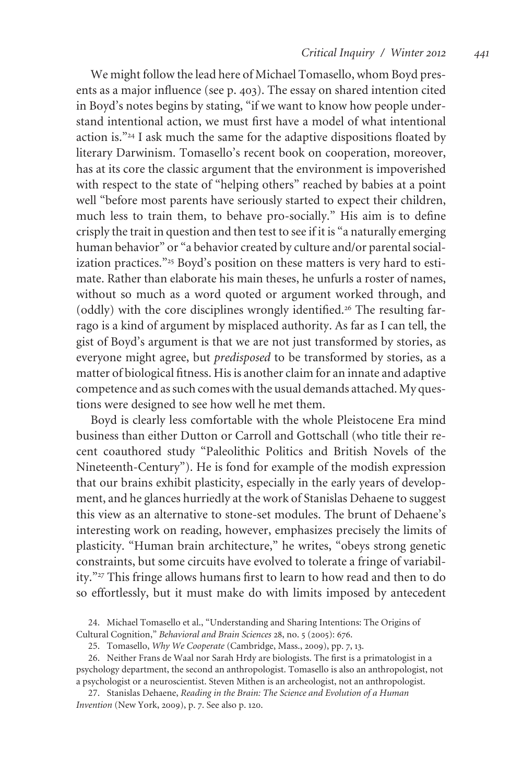We might follow the lead here of Michael Tomasello, whom Boyd presents as a major influence (see p. 403). The essay on shared intention cited in Boyd's notes begins by stating, "if we want to know how people understand intentional action, we must first have a model of what intentional action is."<sup>24</sup> I ask much the same for the adaptive dispositions floated by literary Darwinism. Tomasello's recent book on cooperation, moreover, has at its core the classic argument that the environment is impoverished with respect to the state of "helping others" reached by babies at a point well "before most parents have seriously started to expect their children, much less to train them, to behave pro-socially." His aim is to define crisply the trait in question and then test to see if it is "a naturally emerging human behavior" or "a behavior created by culture and/or parental socialization practices."<sup>25</sup> Boyd's position on these matters is very hard to estimate. Rather than elaborate his main theses, he unfurls a roster of names, without so much as a word quoted or argument worked through, and (oddly) with the core disciplines wrongly identified.<sup>26</sup> The resulting farrago is a kind of argument by misplaced authority. As far as I can tell, the gist of Boyd's argument is that we are not just transformed by stories, as everyone might agree, but *predisposed* to be transformed by stories, as a matter of biological fitness. His is another claim for an innate and adaptive competence and as such comes with the usual demands attached. My questions were designed to see how well he met them.

Boyd is clearly less comfortable with the whole Pleistocene Era mind business than either Dutton or Carroll and Gottschall (who title their recent coauthored study "Paleolithic Politics and British Novels of the Nineteenth-Century"). He is fond for example of the modish expression that our brains exhibit plasticity, especially in the early years of development, and he glances hurriedly at the work of Stanislas Dehaene to suggest this view as an alternative to stone-set modules. The brunt of Dehaene's interesting work on reading, however, emphasizes precisely the limits of plasticity. "Human brain architecture," he writes, "obeys strong genetic constraints, but some circuits have evolved to tolerate a fringe of variability."<sup>27</sup> This fringe allows humans first to learn to how read and then to do so effortlessly, but it must make do with limits imposed by antecedent

24. Michael Tomasello et al., "Understanding and Sharing Intentions: The Origins of Cultural Cognition," *Behavioral and Brain Sciences* 28, no. 5 (2005): 676.

26. Neither Frans de Waal nor Sarah Hrdy are biologists. The first is a primatologist in a psychology department, the second an anthropologist. Tomasello is also an anthropologist, not a psychologist or a neuroscientist. Steven Mithen is an archeologist, not an anthropologist.

27. Stanislas Dehaene, *Reading in the Brain: The Science and Evolution of a Human Invention* (New York, 2009), p. 7. See also p. 120.

<sup>25.</sup> Tomasello, *Why We Cooperate* (Cambridge, Mass., 2009), pp. 7, 13.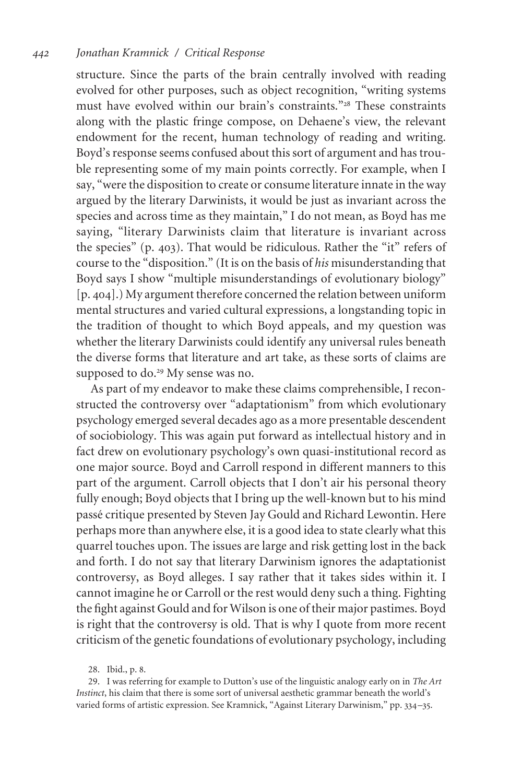structure. Since the parts of the brain centrally involved with reading evolved for other purposes, such as object recognition, "writing systems must have evolved within our brain's constraints."<sup>28</sup> These constraints along with the plastic fringe compose, on Dehaene's view, the relevant endowment for the recent, human technology of reading and writing. Boyd's response seems confused about this sort of argument and has trouble representing some of my main points correctly. For example, when I say, "were the disposition to create or consume literature innate in the way argued by the literary Darwinists, it would be just as invariant across the species and across time as they maintain," I do not mean, as Boyd has me saying, "literary Darwinists claim that literature is invariant across the species" (p. 403). That would be ridiculous. Rather the "it" refers of course to the "disposition." (It is on the basis of *his* misunderstanding that Boyd says I show "multiple misunderstandings of evolutionary biology" [p. 404].) My argument therefore concerned the relation between uniform mental structures and varied cultural expressions, a longstanding topic in the tradition of thought to which Boyd appeals, and my question was whether the literary Darwinists could identify any universal rules beneath the diverse forms that literature and art take, as these sorts of claims are supposed to do.<sup>29</sup> My sense was no.

As part of my endeavor to make these claims comprehensible, I reconstructed the controversy over "adaptationism" from which evolutionary psychology emerged several decades ago as a more presentable descendent of sociobiology. This was again put forward as intellectual history and in fact drew on evolutionary psychology's own quasi-institutional record as one major source. Boyd and Carroll respond in different manners to this part of the argument. Carroll objects that I don't air his personal theory fully enough; Boyd objects that I bring up the well-known but to his mind passé critique presented by Steven Jay Gould and Richard Lewontin. Here perhaps more than anywhere else, it is a good idea to state clearly what this quarrel touches upon. The issues are large and risk getting lost in the back and forth. I do not say that literary Darwinism ignores the adaptationist controversy, as Boyd alleges. I say rather that it takes sides within it. I cannot imagine he or Carroll or the rest would deny such a thing. Fighting the fight against Gould and for Wilson is one of their major pastimes. Boyd is right that the controversy is old. That is why I quote from more recent criticism of the genetic foundations of evolutionary psychology, including

<sup>28.</sup> Ibid., p. 8.

<sup>29.</sup> I was referring for example to Dutton's use of the linguistic analogy early on in *The Art Instinct*, his claim that there is some sort of universal aesthetic grammar beneath the world's varied forms of artistic expression. See Kramnick, "Against Literary Darwinism," pp. 334–35.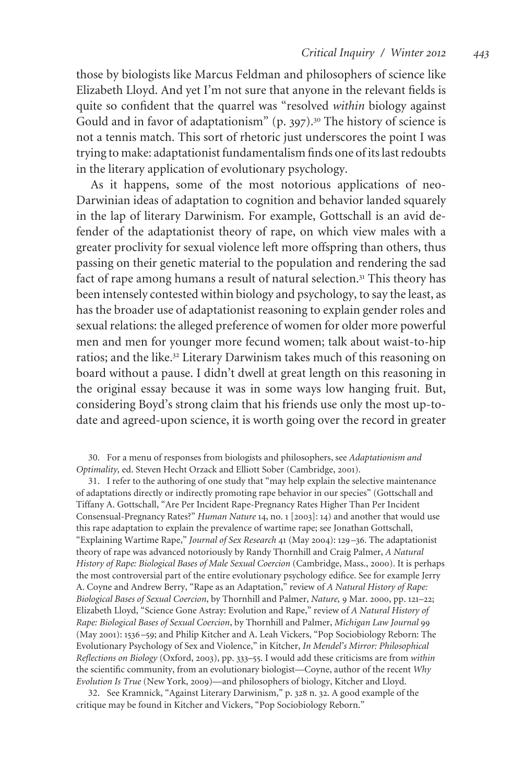those by biologists like Marcus Feldman and philosophers of science like Elizabeth Lloyd. And yet I'm not sure that anyone in the relevant fields is quite so confident that the quarrel was "resolved *within* biology against Gould and in favor of adaptationism" (p. 397).<sup>30</sup> The history of science is not a tennis match. This sort of rhetoric just underscores the point I was trying to make: adaptationist fundamentalism finds one of its last redoubts in the literary application of evolutionary psychology.

As it happens, some of the most notorious applications of neo-Darwinian ideas of adaptation to cognition and behavior landed squarely in the lap of literary Darwinism. For example, Gottschall is an avid defender of the adaptationist theory of rape, on which view males with a greater proclivity for sexual violence left more offspring than others, thus passing on their genetic material to the population and rendering the sad fact of rape among humans a result of natural selection.<sup>31</sup> This theory has been intensely contested within biology and psychology, to say the least, as has the broader use of adaptationist reasoning to explain gender roles and sexual relations: the alleged preference of women for older more powerful men and men for younger more fecund women; talk about waist-to-hip ratios; and the like.<sup>32</sup> Literary Darwinism takes much of this reasoning on board without a pause. I didn't dwell at great length on this reasoning in the original essay because it was in some ways low hanging fruit. But, considering Boyd's strong claim that his friends use only the most up-todate and agreed-upon science, it is worth going over the record in greater

30. For a menu of responses from biologists and philosophers, see *Adaptationism and Optimality,* ed. Steven Hecht Orzack and Elliott Sober (Cambridge, 2001).

31. I refer to the authoring of one study that "may help explain the selective maintenance of adaptations directly or indirectly promoting rape behavior in our species" (Gottschall and Tiffany A. Gottschall, "Are Per Incident Rape-Pregnancy Rates Higher Than Per Incident Consensual-Pregnancy Rates?" *Human Nature* 14, no. 1 [2003]: 14) and another that would use this rape adaptation to explain the prevalence of wartime rape; see Jonathan Gottschall, "Explaining Wartime Rape," *Journal of Sex Research* 41 (May 2004): 129–36. The adaptationist theory of rape was advanced notoriously by Randy Thornhill and Craig Palmer, *A Natural History of Rape: Biological Bases of Male Sexual Coercion* (Cambridge, Mass., 2000). It is perhaps the most controversial part of the entire evolutionary psychology edifice. See for example Jerry A. Coyne and Andrew Berry, "Rape as an Adaptation," review of *A Natural History of Rape: Biological Bases of Sexual Coercion*, by Thornhill and Palmer, *Nature,* 9 Mar. 2000, pp. 121–22; Elizabeth Lloyd, "Science Gone Astray: Evolution and Rape," review of *A Natural History of Rape: Biological Bases of Sexual Coercion*, by Thornhill and Palmer, *Michigan Law Journal* 99 (May 2001): 1536–59; and Philip Kitcher and A. Leah Vickers, "Pop Sociobiology Reborn: The Evolutionary Psychology of Sex and Violence," in Kitcher, *In Mendel's Mirror: Philosophical Reflections on Biology* (Oxford, 2003), pp. 333–55. I would add these criticisms are from *within* the scientific community, from an evolutionary biologist—Coyne, author of the recent *Why Evolution Is True* (New York, 2009)—and philosophers of biology, Kitcher and Lloyd.

32. See Kramnick, "Against Literary Darwinism," p. 328 n. 32. A good example of the critique may be found in Kitcher and Vickers, "Pop Sociobiology Reborn."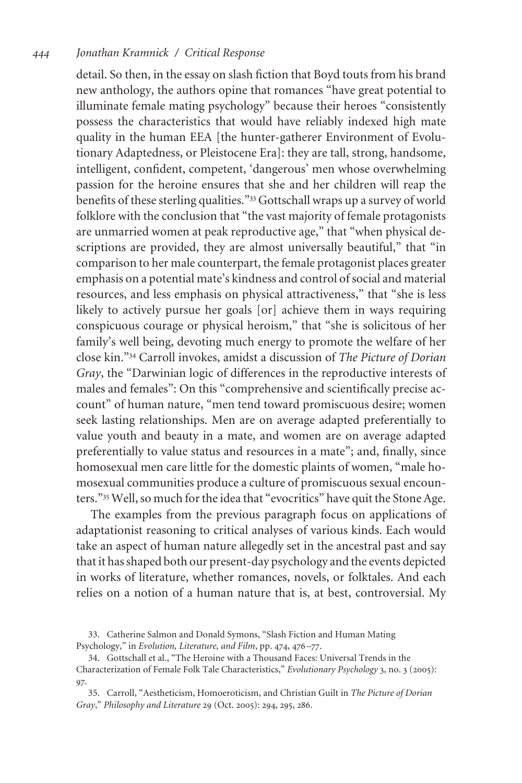detail. So then, in the essay on slash fiction that Boyd touts from his brand new anthology, the authors opine that romances "have great potential to illuminate female mating psychology" because their heroes "consistently possess the characteristics that would have reliably indexed high mate quality in the human EEA [the hunter-gatherer Environment of Evolutionary Adaptedness, or Pleistocene Era]: they are tall, strong, handsome, intelligent, confident, competent, 'dangerous' men whose overwhelming passion for the heroine ensures that she and her children will reap the benefits of these sterling qualities."<sup>33</sup> Gottschall wraps up a survey of world folklore with the conclusion that "the vast majority of female protagonists are unmarried women at peak reproductive age," that "when physical descriptions are provided, they are almost universally beautiful," that "in comparison to her male counterpart, the female protagonist places greater emphasis on a potential mate's kindness and control of social and material resources, and less emphasis on physical attractiveness," that "she is less likely to actively pursue her goals [or] achieve them in ways requiring conspicuous courage or physical heroism," that "she is solicitous of her family's well being, devoting much energy to promote the welfare of her close kin."<sup>34</sup> Carroll invokes, amidst a discussion of *The Picture of Dorian Gray*, the "Darwinian logic of differences in the reproductive interests of males and females": On this "comprehensive and scientifically precise account" of human nature, "men tend toward promiscuous desire; women seek lasting relationships. Men are on average adapted preferentially to value youth and beauty in a mate, and women are on average adapted preferentially to value status and resources in a mate"; and, finally, since homosexual men care little for the domestic plaints of women, "male homosexual communities produce a culture of promiscuous sexual encounters."<sup>35</sup> Well, so much for the idea that "evocritics" have quit the Stone Age.

The examples from the previous paragraph focus on applications of adaptationist reasoning to critical analyses of various kinds. Each would take an aspect of human nature allegedly set in the ancestral past and say that it has shaped both our present-day psychology and the events depicted in works of literature, whether romances, novels, or folktales. And each relies on a notion of a human nature that is, at best, controversial. My

- 33. Catherine Salmon and Donald Symons, "Slash Fiction and Human Mating Psychology," in *Evolution, Literature, and Film*, pp. 474, 476–77.
- 34. Gottschall et al., "The Heroine with a Thousand Faces: Universal Trends in the Characterization of Female Folk Tale Characteristics," *Evolutionary Psychology* 3, no. 3 (2005): 97.
- 35. Carroll, "Aestheticism, Homoeroticism, and Christian Guilt in *The Picture of Dorian Gray*," *Philosophy and Literature* 29 (Oct. 2005): 294, 295, 286.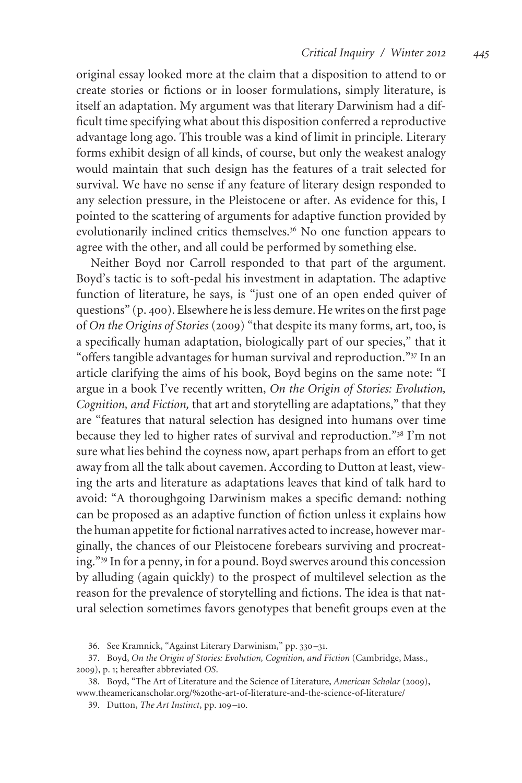original essay looked more at the claim that a disposition to attend to or create stories or fictions or in looser formulations, simply literature, is itself an adaptation. My argument was that literary Darwinism had a difficult time specifying what about this disposition conferred a reproductive advantage long ago. This trouble was a kind of limit in principle. Literary forms exhibit design of all kinds, of course, but only the weakest analogy would maintain that such design has the features of a trait selected for survival. We have no sense if any feature of literary design responded to any selection pressure, in the Pleistocene or after. As evidence for this, I pointed to the scattering of arguments for adaptive function provided by evolutionarily inclined critics themselves.<sup>36</sup> No one function appears to agree with the other, and all could be performed by something else.

Neither Boyd nor Carroll responded to that part of the argument. Boyd's tactic is to soft-pedal his investment in adaptation. The adaptive function of literature, he says, is "just one of an open ended quiver of questions" (p. 400). Elsewhere he is less demure. He writes on the first page of *On the Origins of Stories* (2009) "that despite its many forms, art, too, is a specifically human adaptation, biologically part of our species," that it "offers tangible advantages for human survival and reproduction."<sup>37</sup> In an article clarifying the aims of his book, Boyd begins on the same note: "I argue in a book I've recently written, *On the Origin of Stories: Evolution, Cognition, and Fiction,* that art and storytelling are adaptations," that they are "features that natural selection has designed into humans over time because they led to higher rates of survival and reproduction."<sup>38</sup> I'm not sure what lies behind the coyness now, apart perhaps from an effort to get away from all the talk about cavemen. According to Dutton at least, viewing the arts and literature as adaptations leaves that kind of talk hard to avoid: "A thoroughgoing Darwinism makes a specific demand: nothing can be proposed as an adaptive function of fiction unless it explains how the human appetite for fictional narratives acted to increase, however marginally, the chances of our Pleistocene forebears surviving and procreating."<sup>39</sup> In for a penny, in for a pound. Boyd swerves around this concession by alluding (again quickly) to the prospect of multilevel selection as the reason for the prevalence of storytelling and fictions. The idea is that natural selection sometimes favors genotypes that benefit groups even at the

36. See Kramnick, "Against Literary Darwinism," pp. 330–31.

37. Boyd, *On the Origin of Stories: Evolution, Cognition, and Fiction* (Cambridge, Mass., 2009), p. 1; hereafter abbreviated *OS*.

38. Boyd, "The Art of Literature and the Science of Literature, *American Scholar* (2009), www.theamericanscholar.org/%20the-art-of-literature-and-the-science-of-literature/

39. Dutton, *The Art Instinct*, pp. 109–10.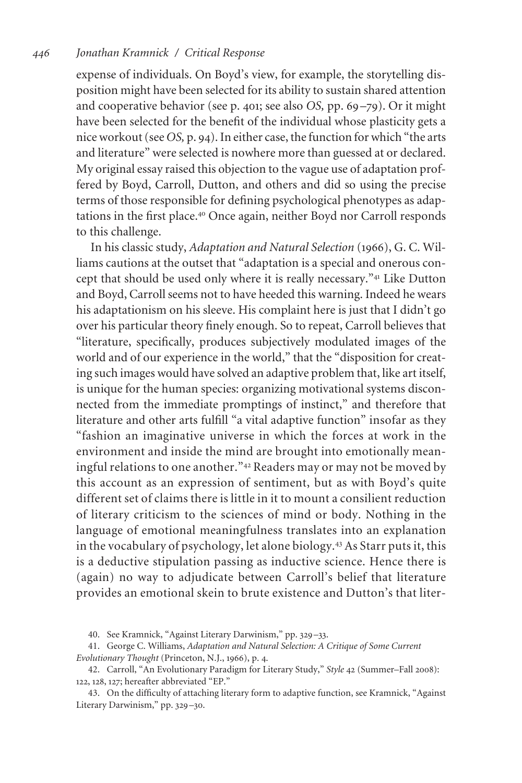expense of individuals. On Boyd's view, for example, the storytelling disposition might have been selected for its ability to sustain shared attention and cooperative behavior (see p. 401; see also *OS,* pp. 69–79). Or it might have been selected for the benefit of the individual whose plasticity gets a nice workout (see *OS,* p. 94). In either case, the function for which "the arts and literature" were selected is nowhere more than guessed at or declared. My original essay raised this objection to the vague use of adaptation proffered by Boyd, Carroll, Dutton, and others and did so using the precise terms of those responsible for defining psychological phenotypes as adaptations in the first place.<sup>40</sup> Once again, neither Boyd nor Carroll responds to this challenge.

In his classic study, *Adaptation and Natural Selection* (1966), G. C. Williams cautions at the outset that "adaptation is a special and onerous concept that should be used only where it is really necessary."<sup>41</sup> Like Dutton and Boyd, Carroll seems not to have heeded this warning. Indeed he wears his adaptationism on his sleeve. His complaint here is just that I didn't go over his particular theory finely enough. So to repeat, Carroll believes that "literature, specifically, produces subjectively modulated images of the world and of our experience in the world," that the "disposition for creating such images would have solved an adaptive problem that, like art itself, is unique for the human species: organizing motivational systems disconnected from the immediate promptings of instinct," and therefore that literature and other arts fulfill "a vital adaptive function" insofar as they "fashion an imaginative universe in which the forces at work in the environment and inside the mind are brought into emotionally meaningful relations to one another."<sup>42</sup> Readers may or may not be moved by this account as an expression of sentiment, but as with Boyd's quite different set of claims there is little in it to mount a consilient reduction of literary criticism to the sciences of mind or body. Nothing in the language of emotional meaningfulness translates into an explanation in the vocabulary of psychology, let alone biology.<sup>43</sup> As Starr puts it, this is a deductive stipulation passing as inductive science. Hence there is (again) no way to adjudicate between Carroll's belief that literature provides an emotional skein to brute existence and Dutton's that liter-

40. See Kramnick, "Against Literary Darwinism," pp. 329–33.

41. George C. Williams, *Adaptation and Natural Selection: A Critique of Some Current Evolutionary Thought* (Princeton, N.J., 1966), p. 4.

42. Carroll, "An Evolutionary Paradigm for Literary Study," *Style* 42 (Summer–Fall 2008): 122, 128, 127; hereafter abbreviated "EP."

43. On the difficulty of attaching literary form to adaptive function, see Kramnick, "Against Literary Darwinism," pp. 329–30.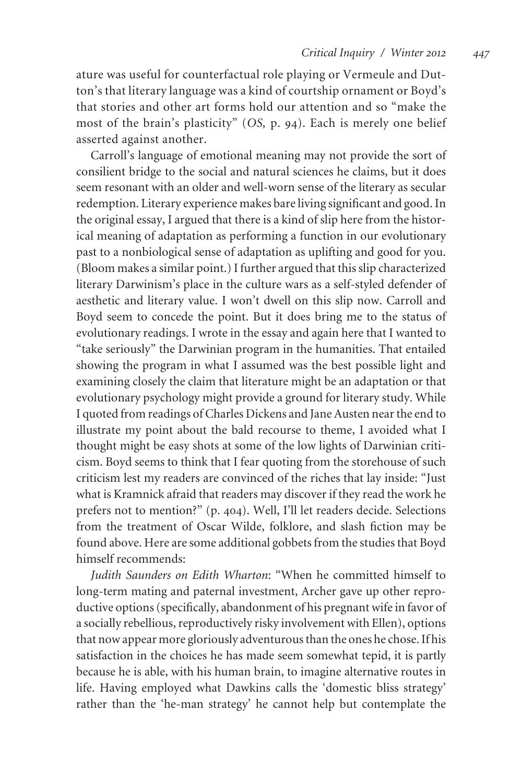ature was useful for counterfactual role playing or Vermeule and Dutton's that literary language was a kind of courtship ornament or Boyd's that stories and other art forms hold our attention and so "make the most of the brain's plasticity" (*OS,* p. 94). Each is merely one belief asserted against another.

Carroll's language of emotional meaning may not provide the sort of consilient bridge to the social and natural sciences he claims, but it does seem resonant with an older and well-worn sense of the literary as secular redemption. Literary experience makes bare living significant and good. In the original essay, I argued that there is a kind of slip here from the historical meaning of adaptation as performing a function in our evolutionary past to a nonbiological sense of adaptation as uplifting and good for you. (Bloom makes a similar point.) I further argued that this slip characterized literary Darwinism's place in the culture wars as a self-styled defender of aesthetic and literary value. I won't dwell on this slip now. Carroll and Boyd seem to concede the point. But it does bring me to the status of evolutionary readings. I wrote in the essay and again here that I wanted to "take seriously" the Darwinian program in the humanities. That entailed showing the program in what I assumed was the best possible light and examining closely the claim that literature might be an adaptation or that evolutionary psychology might provide a ground for literary study. While I quoted from readings of Charles Dickens and Jane Austen near the end to illustrate my point about the bald recourse to theme, I avoided what I thought might be easy shots at some of the low lights of Darwinian criticism. Boyd seems to think that I fear quoting from the storehouse of such criticism lest my readers are convinced of the riches that lay inside: "Just what is Kramnick afraid that readers may discover if they read the work he prefers not to mention?" (p. 404). Well, I'll let readers decide. Selections from the treatment of Oscar Wilde, folklore, and slash fiction may be found above. Here are some additional gobbets from the studies that Boyd himself recommends:

*Judith Saunders on Edith Wharton*: "When he committed himself to long-term mating and paternal investment, Archer gave up other reproductive options (specifically, abandonment of his pregnant wife in favor of a socially rebellious, reproductively risky involvement with Ellen), options that now appear more gloriously adventurous than the ones he chose. If his satisfaction in the choices he has made seem somewhat tepid, it is partly because he is able, with his human brain, to imagine alternative routes in life. Having employed what Dawkins calls the 'domestic bliss strategy' rather than the 'he-man strategy' he cannot help but contemplate the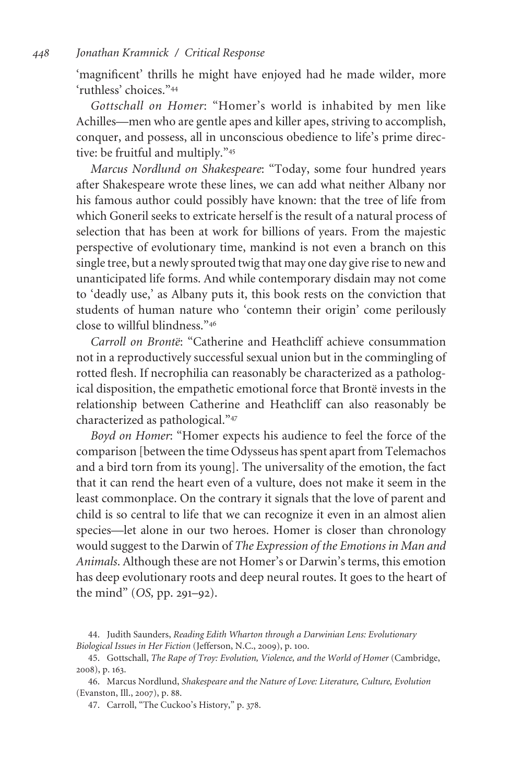'magnificent' thrills he might have enjoyed had he made wilder, more 'ruthless' choices."<sup>44</sup>

*Gottschall on Homer*: "Homer's world is inhabited by men like Achilles—men who are gentle apes and killer apes, striving to accomplish, conquer, and possess, all in unconscious obedience to life's prime directive: be fruitful and multiply."<sup>45</sup>

*Marcus Nordlund on Shakespeare*: "Today, some four hundred years after Shakespeare wrote these lines, we can add what neither Albany nor his famous author could possibly have known: that the tree of life from which Goneril seeks to extricate herself is the result of a natural process of selection that has been at work for billions of years. From the majestic perspective of evolutionary time, mankind is not even a branch on this single tree, but a newly sprouted twig that may one day give rise to new and unanticipated life forms. And while contemporary disdain may not come to 'deadly use,' as Albany puts it, this book rests on the conviction that students of human nature who 'contemn their origin' come perilously close to willful blindness."<sup>46</sup>

*Carroll on Bronte¨*: "Catherine and Heathcliff achieve consummation not in a reproductively successful sexual union but in the commingling of rotted flesh. If necrophilia can reasonably be characterized as a pathological disposition, the empathetic emotional force that Brontë invests in the relationship between Catherine and Heathcliff can also reasonably be characterized as pathological."<sup>47</sup>

*Boyd on Homer*: "Homer expects his audience to feel the force of the comparison [between the time Odysseus has spent apart from Telemachos and a bird torn from its young]. The universality of the emotion, the fact that it can rend the heart even of a vulture, does not make it seem in the least commonplace. On the contrary it signals that the love of parent and child is so central to life that we can recognize it even in an almost alien species—let alone in our two heroes. Homer is closer than chronology would suggest to the Darwin of *The Expression of the Emotions in Man and Animals*. Although these are not Homer's or Darwin's terms, this emotion has deep evolutionary roots and deep neural routes. It goes to the heart of the mind" (*OS,* pp. 291–92).

47. Carroll, "The Cuckoo's History," p. 378.

<sup>44.</sup> Judith Saunders, *Reading Edith Wharton through a Darwinian Lens: Evolutionary Biological Issues in Her Fiction* (Jefferson, N.C., 2009), p. 100.

<sup>45.</sup> Gottschall, *The Rape of Troy: Evolution, Violence, and the World of Homer* (Cambridge, 2008), p. 163.

<sup>46.</sup> Marcus Nordlund, *Shakespeare and the Nature of Love: Literature, Culture, Evolution* (Evanston, Ill., 2007), p. 88.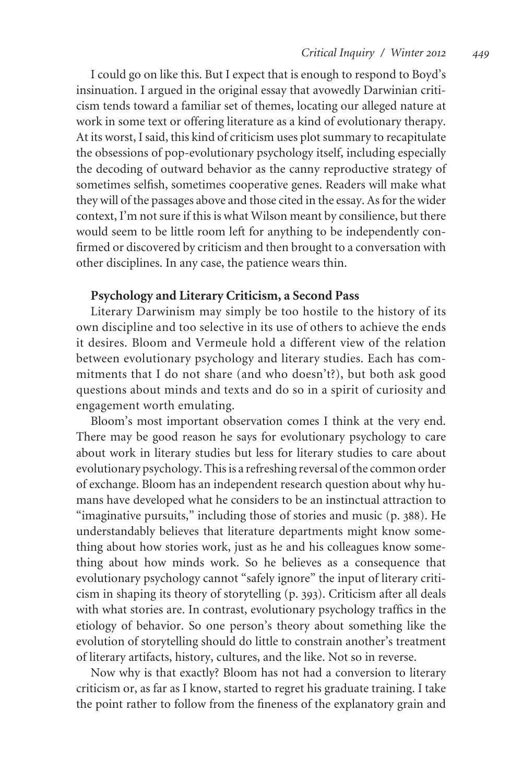I could go on like this. But I expect that is enough to respond to Boyd's insinuation. I argued in the original essay that avowedly Darwinian criticism tends toward a familiar set of themes, locating our alleged nature at work in some text or offering literature as a kind of evolutionary therapy. At its worst, I said, this kind of criticism uses plot summary to recapitulate the obsessions of pop-evolutionary psychology itself, including especially the decoding of outward behavior as the canny reproductive strategy of sometimes selfish, sometimes cooperative genes. Readers will make what they will of the passages above and those cited in the essay. As for the wider context, I'm not sure if this is what Wilson meant by consilience, but there would seem to be little room left for anything to be independently confirmed or discovered by criticism and then brought to a conversation with other disciplines. In any case, the patience wears thin.

## **Psychology and Literary Criticism, a Second Pass**

Literary Darwinism may simply be too hostile to the history of its own discipline and too selective in its use of others to achieve the ends it desires. Bloom and Vermeule hold a different view of the relation between evolutionary psychology and literary studies. Each has commitments that I do not share (and who doesn't?), but both ask good questions about minds and texts and do so in a spirit of curiosity and engagement worth emulating.

Bloom's most important observation comes I think at the very end. There may be good reason he says for evolutionary psychology to care about work in literary studies but less for literary studies to care about evolutionary psychology. This is a refreshing reversal of the common order of exchange. Bloom has an independent research question about why humans have developed what he considers to be an instinctual attraction to "imaginative pursuits," including those of stories and music (p. 388). He understandably believes that literature departments might know something about how stories work, just as he and his colleagues know something about how minds work. So he believes as a consequence that evolutionary psychology cannot "safely ignore" the input of literary criticism in shaping its theory of storytelling (p. 393). Criticism after all deals with what stories are. In contrast, evolutionary psychology traffics in the etiology of behavior. So one person's theory about something like the evolution of storytelling should do little to constrain another's treatment of literary artifacts, history, cultures, and the like. Not so in reverse.

Now why is that exactly? Bloom has not had a conversion to literary criticism or, as far as I know, started to regret his graduate training. I take the point rather to follow from the fineness of the explanatory grain and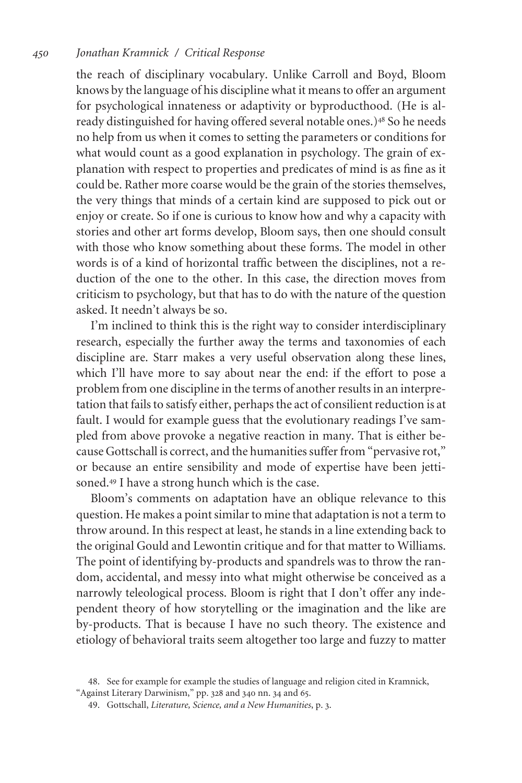the reach of disciplinary vocabulary. Unlike Carroll and Boyd, Bloom knows by the language of his discipline what it means to offer an argument for psychological innateness or adaptivity or byproducthood. (He is already distinguished for having offered several notable ones.)<sup>48</sup> So he needs no help from us when it comes to setting the parameters or conditions for what would count as a good explanation in psychology. The grain of explanation with respect to properties and predicates of mind is as fine as it could be. Rather more coarse would be the grain of the stories themselves, the very things that minds of a certain kind are supposed to pick out or enjoy or create. So if one is curious to know how and why a capacity with stories and other art forms develop, Bloom says, then one should consult with those who know something about these forms. The model in other words is of a kind of horizontal traffic between the disciplines, not a reduction of the one to the other. In this case, the direction moves from criticism to psychology, but that has to do with the nature of the question asked. It needn't always be so.

I'm inclined to think this is the right way to consider interdisciplinary research, especially the further away the terms and taxonomies of each discipline are. Starr makes a very useful observation along these lines, which I'll have more to say about near the end: if the effort to pose a problem from one discipline in the terms of another results in an interpretation that fails to satisfy either, perhaps the act of consilient reduction is at fault. I would for example guess that the evolutionary readings I've sampled from above provoke a negative reaction in many. That is either because Gottschall is correct, and the humanities suffer from "pervasive rot," or because an entire sensibility and mode of expertise have been jettisoned.<sup>49</sup> I have a strong hunch which is the case.

Bloom's comments on adaptation have an oblique relevance to this question. He makes a point similar to mine that adaptation is not a term to throw around. In this respect at least, he stands in a line extending back to the original Gould and Lewontin critique and for that matter to Williams. The point of identifying by-products and spandrels was to throw the random, accidental, and messy into what might otherwise be conceived as a narrowly teleological process. Bloom is right that I don't offer any independent theory of how storytelling or the imagination and the like are by-products. That is because I have no such theory. The existence and etiology of behavioral traits seem altogether too large and fuzzy to matter

<sup>48.</sup> See for example for example the studies of language and religion cited in Kramnick, "Against Literary Darwinism," pp. 328 and 340 nn. 34 and 65.

<sup>49.</sup> Gottschall, *Literature, Science, and a New Humanities*, p. 3.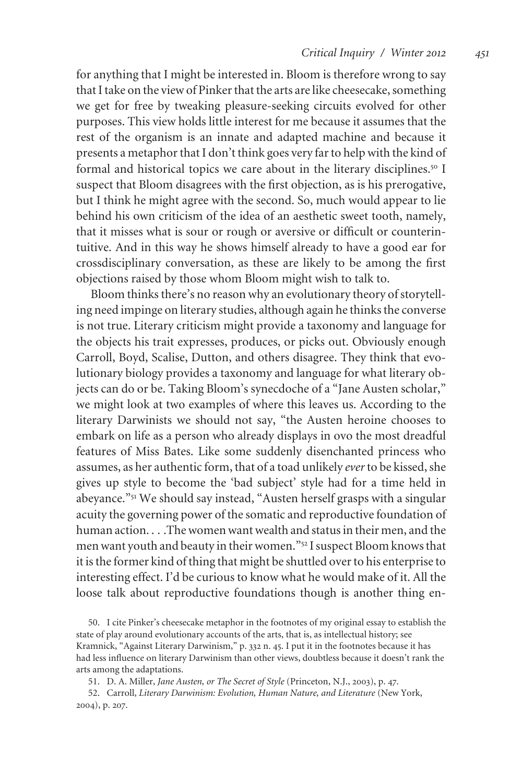for anything that I might be interested in. Bloom is therefore wrong to say that I take on the view of Pinker that the arts are like cheesecake, something we get for free by tweaking pleasure-seeking circuits evolved for other purposes. This view holds little interest for me because it assumes that the rest of the organism is an innate and adapted machine and because it presents a metaphor that I don't think goes very far to help with the kind of formal and historical topics we care about in the literary disciplines.<sup>50</sup> I suspect that Bloom disagrees with the first objection, as is his prerogative, but I think he might agree with the second. So, much would appear to lie behind his own criticism of the idea of an aesthetic sweet tooth, namely, that it misses what is sour or rough or aversive or difficult or counterintuitive. And in this way he shows himself already to have a good ear for crossdisciplinary conversation, as these are likely to be among the first objections raised by those whom Bloom might wish to talk to.

Bloom thinks there's no reason why an evolutionary theory of storytelling need impinge on literary studies, although again he thinks the converse is not true. Literary criticism might provide a taxonomy and language for the objects his trait expresses, produces, or picks out. Obviously enough Carroll, Boyd, Scalise, Dutton, and others disagree. They think that evolutionary biology provides a taxonomy and language for what literary objects can do or be. Taking Bloom's synecdoche of a "Jane Austen scholar," we might look at two examples of where this leaves us. According to the literary Darwinists we should not say, "the Austen heroine chooses to embark on life as a person who already displays in ovo the most dreadful features of Miss Bates. Like some suddenly disenchanted princess who assumes, as her authentic form, that of a toad unlikely *ever*to be kissed, she gives up style to become the 'bad subject' style had for a time held in abeyance."<sup>51</sup> We should say instead, "Austen herself grasps with a singular acuity the governing power of the somatic and reproductive foundation of human action. . . .The women want wealth and status in their men, and the men want youth and beauty in their women."<sup>52</sup> I suspect Bloom knows that it is the former kind of thing that might be shuttled over to his enterprise to interesting effect. I'd be curious to know what he would make of it. All the loose talk about reproductive foundations though is another thing en-

50. I cite Pinker's cheesecake metaphor in the footnotes of my original essay to establish the state of play around evolutionary accounts of the arts, that is, as intellectual history; see Kramnick, "Against Literary Darwinism," p. 332 n. 45. I put it in the footnotes because it has had less influence on literary Darwinism than other views, doubtless because it doesn't rank the arts among the adaptations.

51. D. A. Miller, *Jane Austen, or The Secret of Style* (Princeton, N.J., 2003), p. 47.

52. Carroll, *Literary Darwinism: Evolution, Human Nature, and Literature* (New York, 2004), p. 207.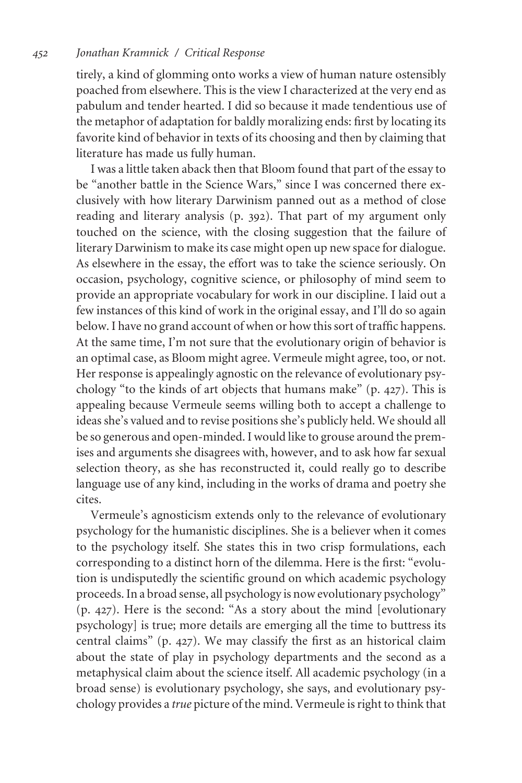tirely, a kind of glomming onto works a view of human nature ostensibly poached from elsewhere. This is the view I characterized at the very end as pabulum and tender hearted. I did so because it made tendentious use of the metaphor of adaptation for baldly moralizing ends: first by locating its favorite kind of behavior in texts of its choosing and then by claiming that literature has made us fully human.

I was a little taken aback then that Bloom found that part of the essay to be "another battle in the Science Wars," since I was concerned there exclusively with how literary Darwinism panned out as a method of close reading and literary analysis (p. 392). That part of my argument only touched on the science, with the closing suggestion that the failure of literary Darwinism to make its case might open up new space for dialogue. As elsewhere in the essay, the effort was to take the science seriously. On occasion, psychology, cognitive science, or philosophy of mind seem to provide an appropriate vocabulary for work in our discipline. I laid out a few instances of this kind of work in the original essay, and I'll do so again below. I have no grand account of when or how this sort of traffic happens. At the same time, I'm not sure that the evolutionary origin of behavior is an optimal case, as Bloom might agree. Vermeule might agree, too, or not. Her response is appealingly agnostic on the relevance of evolutionary psychology "to the kinds of art objects that humans make" (p. 427). This is appealing because Vermeule seems willing both to accept a challenge to ideas she's valued and to revise positions she's publicly held. We should all be so generous and open-minded. I would like to grouse around the premises and arguments she disagrees with, however, and to ask how far sexual selection theory, as she has reconstructed it, could really go to describe language use of any kind, including in the works of drama and poetry she cites.

Vermeule's agnosticism extends only to the relevance of evolutionary psychology for the humanistic disciplines. She is a believer when it comes to the psychology itself. She states this in two crisp formulations, each corresponding to a distinct horn of the dilemma. Here is the first: "evolution is undisputedly the scientific ground on which academic psychology proceeds. In a broad sense, all psychology is now evolutionary psychology" (p. 427). Here is the second: "As a story about the mind [evolutionary psychology] is true; more details are emerging all the time to buttress its central claims" (p. 427). We may classify the first as an historical claim about the state of play in psychology departments and the second as a metaphysical claim about the science itself. All academic psychology (in a broad sense) is evolutionary psychology, she says, and evolutionary psychology provides a *true* picture of the mind. Vermeule is right to think that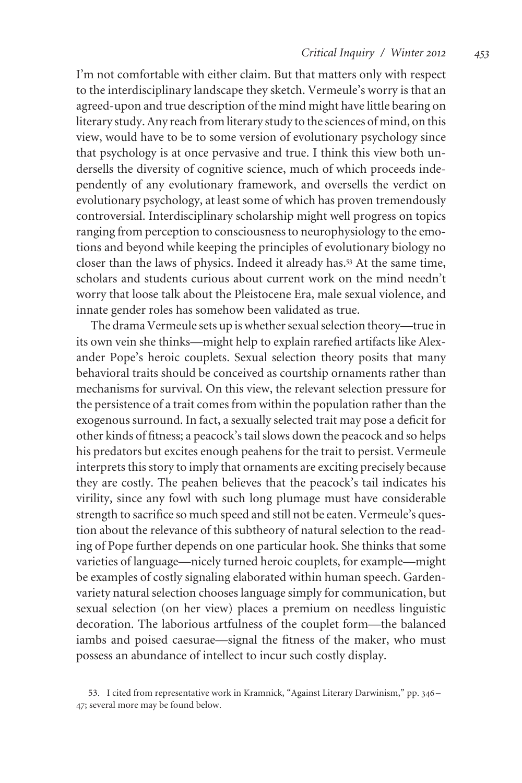I'm not comfortable with either claim. But that matters only with respect to the interdisciplinary landscape they sketch. Vermeule's worry is that an agreed-upon and true description of the mind might have little bearing on literary study. Any reach from literary study to the sciences of mind, on this view, would have to be to some version of evolutionary psychology since that psychology is at once pervasive and true. I think this view both undersells the diversity of cognitive science, much of which proceeds independently of any evolutionary framework, and oversells the verdict on evolutionary psychology, at least some of which has proven tremendously controversial. Interdisciplinary scholarship might well progress on topics ranging from perception to consciousness to neurophysiology to the emotions and beyond while keeping the principles of evolutionary biology no closer than the laws of physics. Indeed it already has.<sup>53</sup> At the same time, scholars and students curious about current work on the mind needn't worry that loose talk about the Pleistocene Era, male sexual violence, and innate gender roles has somehow been validated as true.

The drama Vermeule sets up is whether sexual selection theory—true in its own vein she thinks—might help to explain rarefied artifacts like Alexander Pope's heroic couplets. Sexual selection theory posits that many behavioral traits should be conceived as courtship ornaments rather than mechanisms for survival. On this view, the relevant selection pressure for the persistence of a trait comes from within the population rather than the exogenous surround. In fact, a sexually selected trait may pose a deficit for other kinds of fitness; a peacock's tail slows down the peacock and so helps his predators but excites enough peahens for the trait to persist. Vermeule interprets this story to imply that ornaments are exciting precisely because they are costly. The peahen believes that the peacock's tail indicates his virility, since any fowl with such long plumage must have considerable strength to sacrifice so much speed and still not be eaten. Vermeule's question about the relevance of this subtheory of natural selection to the reading of Pope further depends on one particular hook. She thinks that some varieties of language—nicely turned heroic couplets, for example—might be examples of costly signaling elaborated within human speech. Gardenvariety natural selection chooses language simply for communication, but sexual selection (on her view) places a premium on needless linguistic decoration. The laborious artfulness of the couplet form—the balanced iambs and poised caesurae—signal the fitness of the maker, who must possess an abundance of intellect to incur such costly display.

<sup>53.</sup> I cited from representative work in Kramnick, "Against Literary Darwinism," pp. 346– 47; several more may be found below.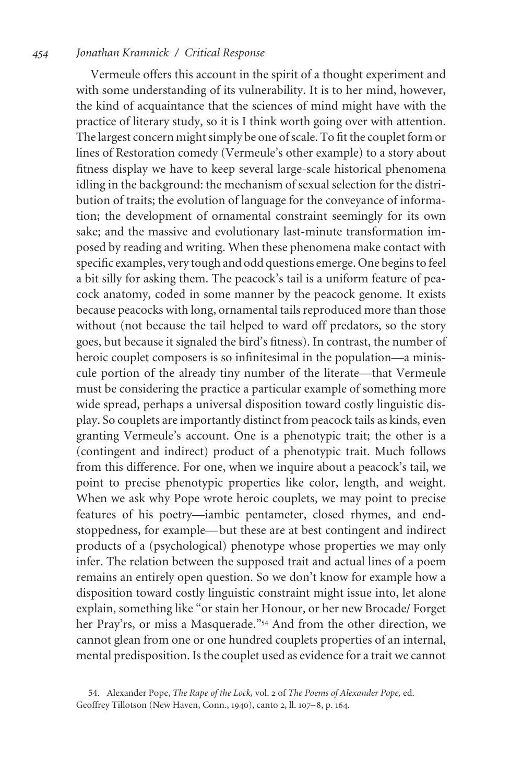Vermeule offers this account in the spirit of a thought experiment and with some understanding of its vulnerability. It is to her mind, however, the kind of acquaintance that the sciences of mind might have with the practice of literary study, so it is I think worth going over with attention. The largest concern might simply be one of scale. To fit the couplet form or lines of Restoration comedy (Vermeule's other example) to a story about fitness display we have to keep several large-scale historical phenomena idling in the background: the mechanism of sexual selection for the distribution of traits; the evolution of language for the conveyance of information; the development of ornamental constraint seemingly for its own sake; and the massive and evolutionary last-minute transformation imposed by reading and writing. When these phenomena make contact with specific examples, very tough and odd questions emerge. One begins to feel a bit silly for asking them. The peacock's tail is a uniform feature of peacock anatomy, coded in some manner by the peacock genome. It exists because peacocks with long, ornamental tails reproduced more than those without (not because the tail helped to ward off predators, so the story goes, but because it signaled the bird's fitness). In contrast, the number of heroic couplet composers is so infinitesimal in the population—a miniscule portion of the already tiny number of the literate—that Vermeule must be considering the practice a particular example of something more wide spread, perhaps a universal disposition toward costly linguistic display. So couplets are importantly distinct from peacock tails as kinds, even granting Vermeule's account. One is a phenotypic trait; the other is a (contingent and indirect) product of a phenotypic trait. Much follows from this difference. For one, when we inquire about a peacock's tail, we point to precise phenotypic properties like color, length, and weight. When we ask why Pope wrote heroic couplets, we may point to precise features of his poetry—iambic pentameter, closed rhymes, and endstoppedness, for example— but these are at best contingent and indirect products of a (psychological) phenotype whose properties we may only infer. The relation between the supposed trait and actual lines of a poem remains an entirely open question. So we don't know for example how a disposition toward costly linguistic constraint might issue into, let alone explain, something like "or stain her Honour, or her new Brocade/ Forget her Pray'rs, or miss a Masquerade."<sup>54</sup> And from the other direction, we cannot glean from one or one hundred couplets properties of an internal, mental predisposition. Is the couplet used as evidence for a trait we cannot

<sup>54.</sup> Alexander Pope, *The Rape of the Lock,* vol. 2 of *The Poems of Alexander Pope,* ed. Geoffrey Tillotson (New Haven, Conn., 1940), canto 2, ll. 107–8, p. 164.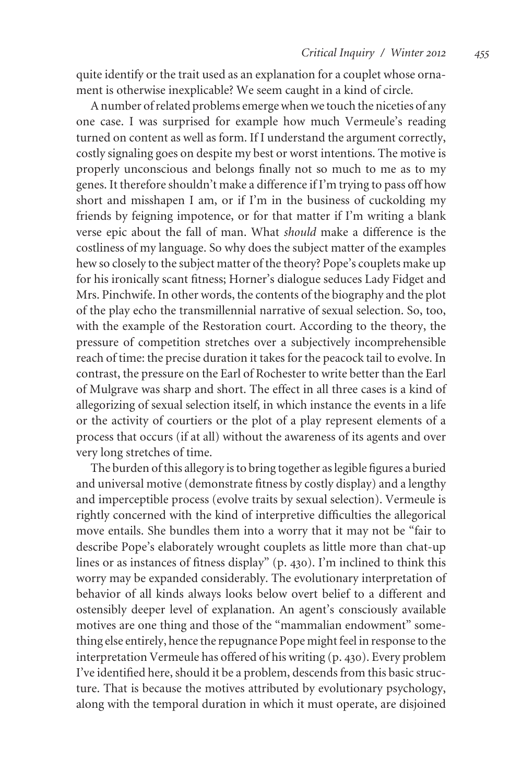quite identify or the trait used as an explanation for a couplet whose ornament is otherwise inexplicable? We seem caught in a kind of circle.

A number of related problems emerge when we touch the niceties of any one case. I was surprised for example how much Vermeule's reading turned on content as well as form. If I understand the argument correctly, costly signaling goes on despite my best or worst intentions. The motive is properly unconscious and belongs finally not so much to me as to my genes. It therefore shouldn't make a difference if I'm trying to pass off how short and misshapen I am, or if I'm in the business of cuckolding my friends by feigning impotence, or for that matter if I'm writing a blank verse epic about the fall of man. What *should* make a difference is the costliness of my language. So why does the subject matter of the examples hew so closely to the subject matter of the theory? Pope's couplets make up for his ironically scant fitness; Horner's dialogue seduces Lady Fidget and Mrs. Pinchwife. In other words, the contents of the biography and the plot of the play echo the transmillennial narrative of sexual selection. So, too, with the example of the Restoration court. According to the theory, the pressure of competition stretches over a subjectively incomprehensible reach of time: the precise duration it takes for the peacock tail to evolve. In contrast, the pressure on the Earl of Rochester to write better than the Earl of Mulgrave was sharp and short. The effect in all three cases is a kind of allegorizing of sexual selection itself, in which instance the events in a life or the activity of courtiers or the plot of a play represent elements of a process that occurs (if at all) without the awareness of its agents and over very long stretches of time.

The burden of this allegory is to bring together as legible figures a buried and universal motive (demonstrate fitness by costly display) and a lengthy and imperceptible process (evolve traits by sexual selection). Vermeule is rightly concerned with the kind of interpretive difficulties the allegorical move entails. She bundles them into a worry that it may not be "fair to describe Pope's elaborately wrought couplets as little more than chat-up lines or as instances of fitness display" (p. 430). I'm inclined to think this worry may be expanded considerably. The evolutionary interpretation of behavior of all kinds always looks below overt belief to a different and ostensibly deeper level of explanation. An agent's consciously available motives are one thing and those of the "mammalian endowment" something else entirely, hence the repugnance Pope might feel in response to the interpretation Vermeule has offered of his writing (p. 430). Every problem I've identified here, should it be a problem, descends from this basic structure. That is because the motives attributed by evolutionary psychology, along with the temporal duration in which it must operate, are disjoined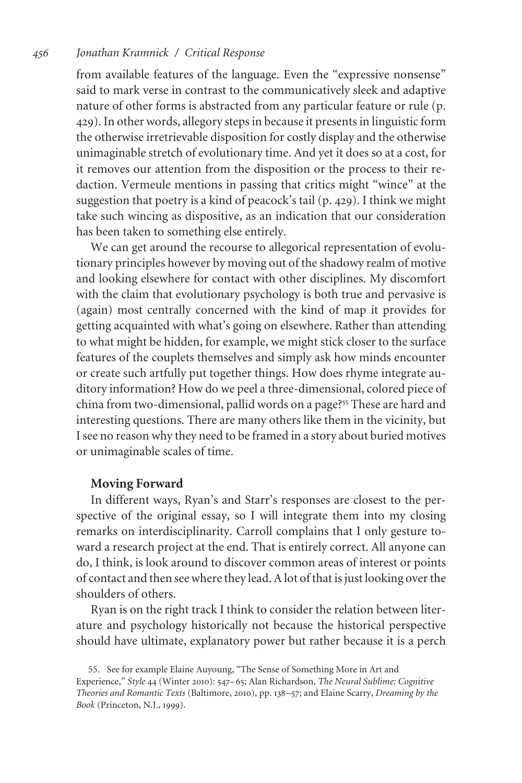from available features of the language. Even the "expressive nonsense" said to mark verse in contrast to the communicatively sleek and adaptive nature of other forms is abstracted from any particular feature or rule (p. 429). In other words, allegory steps in because it presents in linguistic form the otherwise irretrievable disposition for costly display and the otherwise unimaginable stretch of evolutionary time. And yet it does so at a cost, for it removes our attention from the disposition or the process to their redaction. Vermeule mentions in passing that critics might "wince" at the suggestion that poetry is a kind of peacock's tail (p. 429). I think we might take such wincing as dispositive, as an indication that our consideration has been taken to something else entirely.

We can get around the recourse to allegorical representation of evolutionary principles however by moving out of the shadowy realm of motive and looking elsewhere for contact with other disciplines. My discomfort with the claim that evolutionary psychology is both true and pervasive is (again) most centrally concerned with the kind of map it provides for getting acquainted with what's going on elsewhere. Rather than attending to what might be hidden, for example, we might stick closer to the surface features of the couplets themselves and simply ask how minds encounter or create such artfully put together things. How does rhyme integrate auditory information? How do we peel a three-dimensional, colored piece of china from two-dimensional, pallid words on a page?<sup>55</sup> These are hard and interesting questions. There are many others like them in the vicinity, but I see no reason why they need to be framed in a story about buried motives or unimaginable scales of time.

## **Moving Forward**

In different ways, Ryan's and Starr's responses are closest to the perspective of the original essay, so I will integrate them into my closing remarks on interdisciplinarity. Carroll complains that I only gesture toward a research project at the end. That is entirely correct. All anyone can do, I think, is look around to discover common areas of interest or points of contact and then see where they lead. A lot of that is just looking over the shoulders of others.

Ryan is on the right track I think to consider the relation between literature and psychology historically not because the historical perspective should have ultimate, explanatory power but rather because it is a perch

<sup>55.</sup> See for example Elaine Auyoung, "The Sense of Something More in Art and Experience," *Style* 44 (Winter 2010): 547–65; Alan Richardson, *The Neural Sublime: Cognitive Theories and Romantic Texts* (Baltimore, 2010), pp. 138–57; and Elaine Scarry, *Dreaming by the Book* (Princeton, N.J., 1999).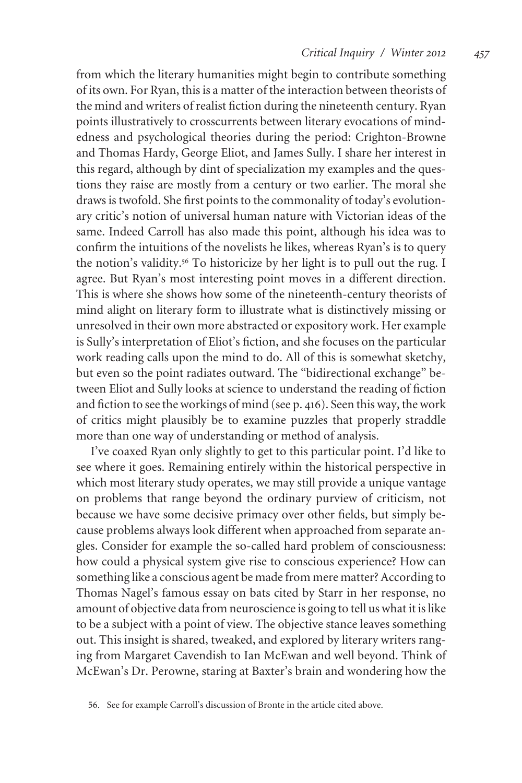from which the literary humanities might begin to contribute something of its own. For Ryan, this is a matter of the interaction between theorists of the mind and writers of realist fiction during the nineteenth century. Ryan points illustratively to crosscurrents between literary evocations of mindedness and psychological theories during the period: Crighton-Browne and Thomas Hardy, George Eliot, and James Sully. I share her interest in this regard, although by dint of specialization my examples and the questions they raise are mostly from a century or two earlier. The moral she draws is twofold. She first points to the commonality of today's evolutionary critic's notion of universal human nature with Victorian ideas of the same. Indeed Carroll has also made this point, although his idea was to confirm the intuitions of the novelists he likes, whereas Ryan's is to query the notion's validity.<sup>56</sup> To historicize by her light is to pull out the rug. I agree. But Ryan's most interesting point moves in a different direction. This is where she shows how some of the nineteenth-century theorists of mind alight on literary form to illustrate what is distinctively missing or unresolved in their own more abstracted or expository work. Her example is Sully's interpretation of Eliot's fiction, and she focuses on the particular work reading calls upon the mind to do. All of this is somewhat sketchy, but even so the point radiates outward. The "bidirectional exchange" between Eliot and Sully looks at science to understand the reading of fiction and fiction to see the workings of mind (see p. 416). Seen this way, the work of critics might plausibly be to examine puzzles that properly straddle more than one way of understanding or method of analysis.

I've coaxed Ryan only slightly to get to this particular point. I'd like to see where it goes. Remaining entirely within the historical perspective in which most literary study operates, we may still provide a unique vantage on problems that range beyond the ordinary purview of criticism, not because we have some decisive primacy over other fields, but simply because problems always look different when approached from separate angles. Consider for example the so-called hard problem of consciousness: how could a physical system give rise to conscious experience? How can something like a conscious agent be made from mere matter? According to Thomas Nagel's famous essay on bats cited by Starr in her response, no amount of objective data from neuroscience is going to tell us what it is like to be a subject with a point of view. The objective stance leaves something out. This insight is shared, tweaked, and explored by literary writers ranging from Margaret Cavendish to Ian McEwan and well beyond. Think of McEwan's Dr. Perowne, staring at Baxter's brain and wondering how the

<sup>56.</sup> See for example Carroll's discussion of Bronte in the article cited above.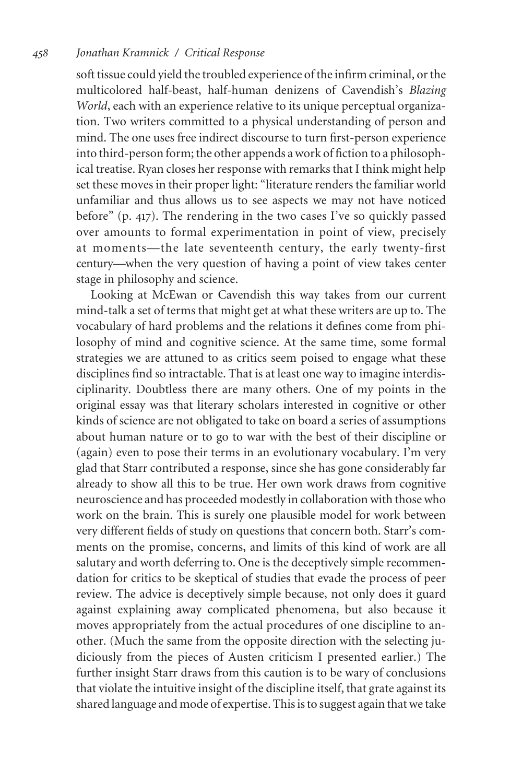soft tissue could yield the troubled experience of the infirm criminal, or the multicolored half-beast, half-human denizens of Cavendish's *Blazing World*, each with an experience relative to its unique perceptual organization. Two writers committed to a physical understanding of person and mind. The one uses free indirect discourse to turn first-person experience into third-person form; the other appends a work of fiction to a philosophical treatise. Ryan closes her response with remarks that I think might help set these moves in their proper light: "literature renders the familiar world unfamiliar and thus allows us to see aspects we may not have noticed before" (p. 417). The rendering in the two cases I've so quickly passed over amounts to formal experimentation in point of view, precisely at moments—the late seventeenth century, the early twenty-first century—when the very question of having a point of view takes center stage in philosophy and science.

Looking at McEwan or Cavendish this way takes from our current mind-talk a set of terms that might get at what these writers are up to. The vocabulary of hard problems and the relations it defines come from philosophy of mind and cognitive science. At the same time, some formal strategies we are attuned to as critics seem poised to engage what these disciplines find so intractable. That is at least one way to imagine interdisciplinarity. Doubtless there are many others. One of my points in the original essay was that literary scholars interested in cognitive or other kinds of science are not obligated to take on board a series of assumptions about human nature or to go to war with the best of their discipline or (again) even to pose their terms in an evolutionary vocabulary. I'm very glad that Starr contributed a response, since she has gone considerably far already to show all this to be true. Her own work draws from cognitive neuroscience and has proceeded modestly in collaboration with those who work on the brain. This is surely one plausible model for work between very different fields of study on questions that concern both. Starr's comments on the promise, concerns, and limits of this kind of work are all salutary and worth deferring to. One is the deceptively simple recommendation for critics to be skeptical of studies that evade the process of peer review. The advice is deceptively simple because, not only does it guard against explaining away complicated phenomena, but also because it moves appropriately from the actual procedures of one discipline to another. (Much the same from the opposite direction with the selecting judiciously from the pieces of Austen criticism I presented earlier.) The further insight Starr draws from this caution is to be wary of conclusions that violate the intuitive insight of the discipline itself, that grate against its shared language and mode of expertise. This is to suggest again that we take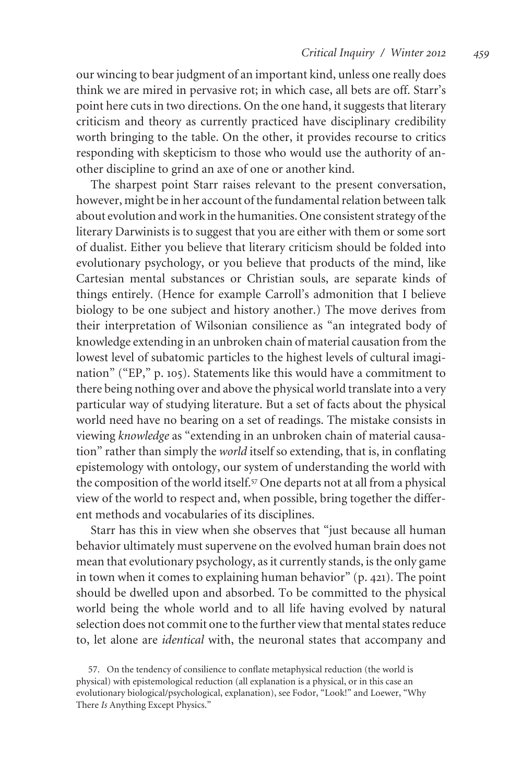our wincing to bear judgment of an important kind, unless one really does think we are mired in pervasive rot; in which case, all bets are off. Starr's point here cuts in two directions. On the one hand, it suggests that literary criticism and theory as currently practiced have disciplinary credibility worth bringing to the table. On the other, it provides recourse to critics responding with skepticism to those who would use the authority of another discipline to grind an axe of one or another kind.

The sharpest point Starr raises relevant to the present conversation, however, might be in her account of the fundamental relation between talk about evolution and work in the humanities. One consistent strategy of the literary Darwinists is to suggest that you are either with them or some sort of dualist. Either you believe that literary criticism should be folded into evolutionary psychology, or you believe that products of the mind, like Cartesian mental substances or Christian souls, are separate kinds of things entirely. (Hence for example Carroll's admonition that I believe biology to be one subject and history another.) The move derives from their interpretation of Wilsonian consilience as "an integrated body of knowledge extending in an unbroken chain of material causation from the lowest level of subatomic particles to the highest levels of cultural imagination" ("EP," p. 105). Statements like this would have a commitment to there being nothing over and above the physical world translate into a very particular way of studying literature. But a set of facts about the physical world need have no bearing on a set of readings. The mistake consists in viewing *knowledge* as "extending in an unbroken chain of material causation" rather than simply the *world* itself so extending, that is, in conflating epistemology with ontology, our system of understanding the world with the composition of the world itself.<sup>57</sup> One departs not at all from a physical view of the world to respect and, when possible, bring together the different methods and vocabularies of its disciplines.

Starr has this in view when she observes that "just because all human behavior ultimately must supervene on the evolved human brain does not mean that evolutionary psychology, as it currently stands, is the only game in town when it comes to explaining human behavior" (p. 421). The point should be dwelled upon and absorbed. To be committed to the physical world being the whole world and to all life having evolved by natural selection does not commit one to the further view that mental states reduce to, let alone are *identical* with, the neuronal states that accompany and

<sup>57.</sup> On the tendency of consilience to conflate metaphysical reduction (the world is physical) with epistemological reduction (all explanation is a physical, or in this case an evolutionary biological/psychological, explanation), see Fodor, "Look!" and Loewer, "Why There *Is* Anything Except Physics."